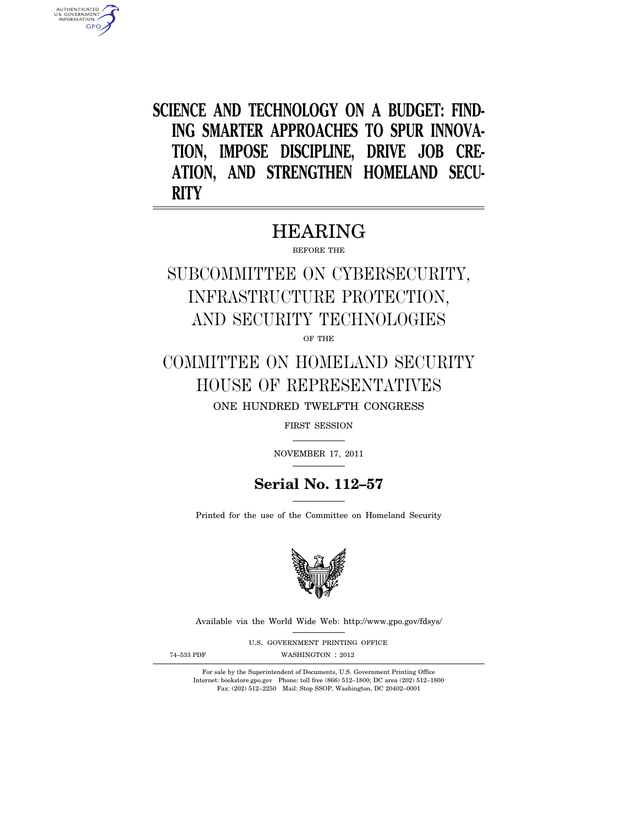**SCIENCE AND TECHNOLOGY ON A BUDGET: FIND-ING SMARTER APPROACHES TO SPUR INNOVA-TION, IMPOSE DISCIPLINE, DRIVE JOB CRE-ATION, AND STRENGTHEN HOMELAND SECU-RITY** 

# HEARING

BEFORE THE

SUBCOMMITTEE ON CYBERSECURITY, INFRASTRUCTURE PROTECTION, AND SECURITY TECHNOLOGIES

OF THE

COMMITTEE ON HOMELAND SECURITY HOUSE OF REPRESENTATIVES ONE HUNDRED TWELFTH CONGRESS

FIRST SESSION

NOVEMBER 17, 2011

# **Serial No. 112–57**

Printed for the use of the Committee on Homeland Security



Available via the World Wide Web: http://www.gpo.gov/fdsys/

U.S. GOVERNMENT PRINTING OFFICE

AUTHENTICATED<br>U.S. GOVERNMENT<br>INFORMATION GPO

74-533 PDF WASHINGTON : 2012

For sale by the Superintendent of Documents, U.S. Government Printing Office Internet: bookstore.gpo.gov Phone: toll free (866) 512–1800; DC area (202) 512–1800 Fax: (202) 512–2250 Mail: Stop SSOP, Washington, DC 20402–0001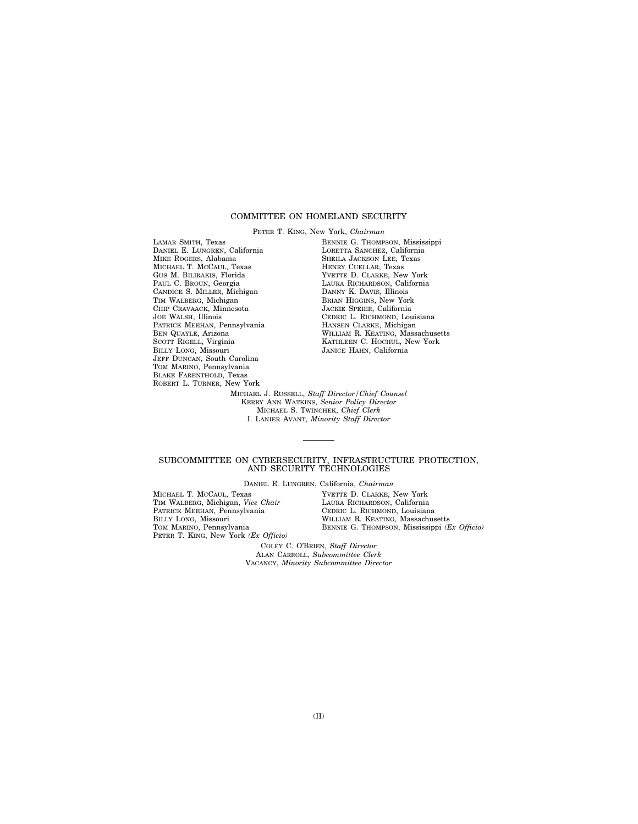# COMMITTEE ON HOMELAND SECURITY

PETER T. KING, New York, *Chairman*  LAMAR SMITH, Texas DANIEL E. LUNGREN, California MIKE ROGERS, Alabama MICHAEL T. MCCAUL, Texas GUS M. BILIRAKIS, Florida PAUL C. BROUN, Georgia CANDICE S. MILLER, Michigan TIM WALBERG, Michigan CHIP CRAVAACK, Minnesota JOE WALSH, Illinois PATRICK MEEHAN, Pennsylvania BEN QUAYLE, Arizona SCOTT RIGELL, Virginia BILLY LONG, Missouri JEFF DUNCAN, South Carolina TOM MARINO, Pennsylvania BLAKE FARENTHOLD, Texas ROBERT L. TURNER, New York

BENNIE G. THOMPSON, Mississippi LORETTA SANCHEZ, California SHEILA JACKSON LEE, Texas HENRY CUELLAR, Texas YVETTE D. CLARKE, New York LAURA RICHARDSON, California DANNY K. DAVIS, Illinois BRIAN HIGGINS, New York JACKIE SPEIER, California CEDRIC L. RICHMOND, Louisiana HANSEN CLARKE, Michigan WILLIAM R. KEATING, Massachusetts KATHLEEN C. HOCHUL, New York JANICE HAHN, California

MICHAEL J. RUSSELL, *Staff Director/Chief Counsel*  KERRY ANN WATKINS, *Senior Policy Director*  MICHAEL S. TWINCHEK, *Chief Clerk*  I. LANIER AVANT, *Minority Staff Director* 

# SUBCOMMITTEE ON CYBERSECURITY, INFRASTRUCTURE PROTECTION, AND SECURITY TECHNOLOGIES

DANIEL E. LUNGREN, California, *Chairman* 

MICHAEL T. MCCAUL, Texas TIM WALBERG, Michigan, *Vice Chair*  PATRICK MEEHAN, Pennsylvania BILLY LONG, Missouri TOM MARINO, Pennsylvania PETER T. KING, New York *(Ex Officio)* 

YVETTE D. CLARKE, New York LAURA RICHARDSON, California CEDRIC L. RICHMOND, Louisiana WILLIAM R. KEATING, Massachusetts BENNIE G. THOMPSON, Mississippi *(Ex Officio)* 

COLEY C. O'BRIEN, *Staff Director*  ALAN CARROLL, *Subcommittee Clerk*  VACANCY, *Minority Subcommittee Director*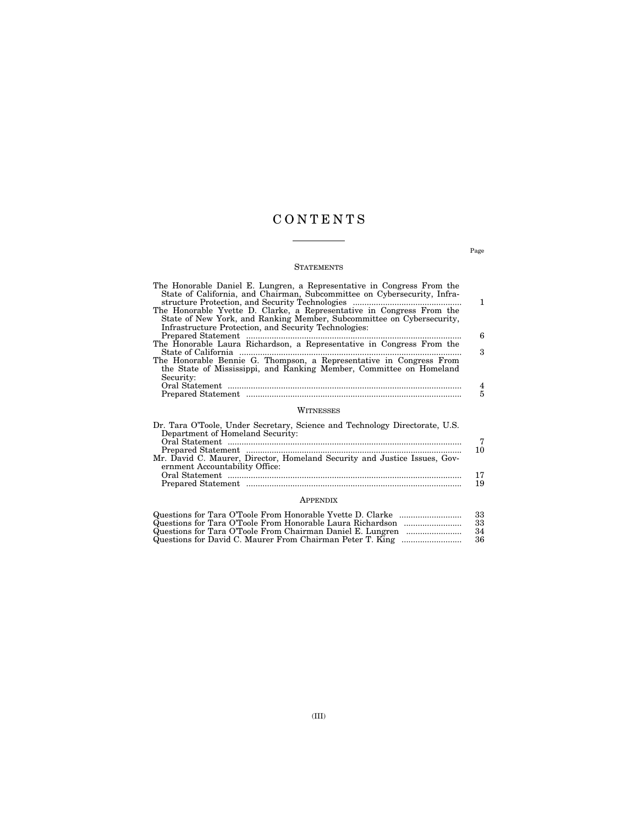# C O N T E N T S

# **STATEMENTS**

| The Honorable Daniel E. Lungren, a Representative in Congress From the<br>State of California, and Chairman, Subcommittee on Cybersecurity, Infra-                                                      |     |
|---------------------------------------------------------------------------------------------------------------------------------------------------------------------------------------------------------|-----|
|                                                                                                                                                                                                         | 1   |
| The Honorable Yvette D. Clarke, a Representative in Congress From the<br>State of New York, and Ranking Member, Subcommittee on Cybersecurity,<br>Infrastructure Protection, and Security Technologies: |     |
|                                                                                                                                                                                                         | 6   |
| The Honorable Laura Richardson, a Representative in Congress From the                                                                                                                                   |     |
|                                                                                                                                                                                                         | 3   |
| The Honorable Bennie G. Thompson, a Representative in Congress From                                                                                                                                     |     |
| the State of Mississippi, and Ranking Member, Committee on Homeland                                                                                                                                     |     |
| Security:                                                                                                                                                                                               |     |
|                                                                                                                                                                                                         | 4   |
|                                                                                                                                                                                                         |     |
| WITNESSES                                                                                                                                                                                               |     |
| Dr. Tara O'Toole, Under Secretary, Science and Technology Directorate, U.S.                                                                                                                             |     |
| Department of Homeland Security:                                                                                                                                                                        |     |
|                                                                                                                                                                                                         |     |
| $D_{nononod}$ $Q_{totom}$                                                                                                                                                                               | 1 ႐ |

| 10 |
|----|
|    |
|    |
|    |
| 19 |
|    |

# APPENDIX

| - 33 |
|------|
| -33  |
| - 34 |
| - 36 |

Page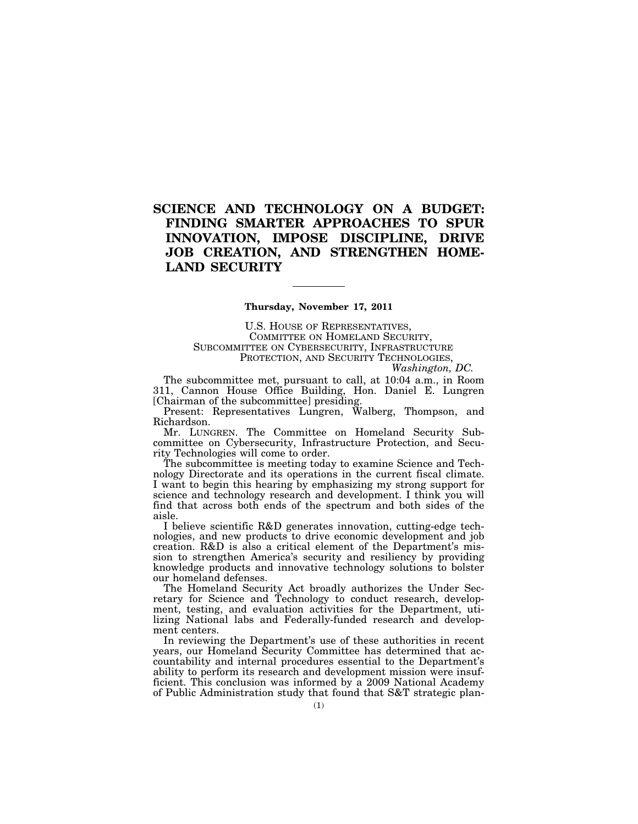# **SCIENCE AND TECHNOLOGY ON A BUDGET: FINDING SMARTER APPROACHES TO SPUR INNOVATION, IMPOSE DISCIPLINE, DRIVE JOB CREATION, AND STRENGTHEN HOME-LAND SECURITY**

# **Thursday, November 17, 2011**

U.S. HOUSE OF REPRESENTATIVES, COMMITTEE ON HOMELAND SECURITY, SUBCOMMITTEE ON CYBERSECURITY, INFRASTRUCTURE PROTECTION, AND SECURITY TECHNOLOGIES,

*Washington, DC.* 

The subcommittee met, pursuant to call, at 10:04 a.m., in Room 311, Cannon House Office Building, Hon. Daniel E. Lungren [Chairman of the subcommittee] presiding.

Present: Representatives Lungren, Walberg, Thompson, and Richardson.

Mr. LUNGREN. The Committee on Homeland Security Subcommittee on Cybersecurity, Infrastructure Protection, and Security Technologies will come to order.

The subcommittee is meeting today to examine Science and Technology Directorate and its operations in the current fiscal climate. I want to begin this hearing by emphasizing my strong support for science and technology research and development. I think you will find that across both ends of the spectrum and both sides of the aisle.

I believe scientific R&D generates innovation, cutting-edge technologies, and new products to drive economic development and job creation. R&D is also a critical element of the Department's mission to strengthen America's security and resiliency by providing knowledge products and innovative technology solutions to bolster our homeland defenses.

The Homeland Security Act broadly authorizes the Under Secretary for Science and Technology to conduct research, development, testing, and evaluation activities for the Department, utilizing National labs and Federally-funded research and development centers.

In reviewing the Department's use of these authorities in recent years, our Homeland Security Committee has determined that accountability and internal procedures essential to the Department's ability to perform its research and development mission were insufficient. This conclusion was informed by a 2009 National Academy of Public Administration study that found that S&T strategic plan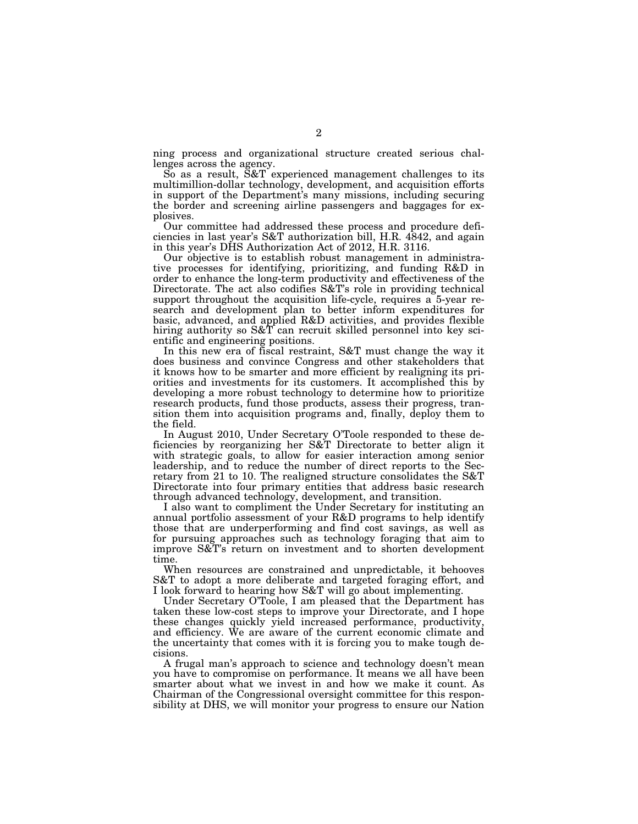ning process and organizational structure created serious challenges across the agency.

So as a result, S&T experienced management challenges to its multimillion-dollar technology, development, and acquisition efforts in support of the Department's many missions, including securing the border and screening airline passengers and baggages for explosives.

Our committee had addressed these process and procedure deficiencies in last year's S&T authorization bill, H.R. 4842, and again in this year's DHS Authorization Act of 2012, H.R. 3116.

Our objective is to establish robust management in administrative processes for identifying, prioritizing, and funding R&D in order to enhance the long-term productivity and effectiveness of the Directorate. The act also codifies S&T's role in providing technical support throughout the acquisition life-cycle, requires a 5-year research and development plan to better inform expenditures for basic, advanced, and applied R&D activities, and provides flexible hiring authority so S&T can recruit skilled personnel into key scientific and engineering positions.

In this new era of fiscal restraint, S&T must change the way it does business and convince Congress and other stakeholders that it knows how to be smarter and more efficient by realigning its priorities and investments for its customers. It accomplished this by developing a more robust technology to determine how to prioritize research products, fund those products, assess their progress, transition them into acquisition programs and, finally, deploy them to the field.

In August 2010, Under Secretary O'Toole responded to these deficiencies by reorganizing her S&T Directorate to better align it with strategic goals, to allow for easier interaction among senior leadership, and to reduce the number of direct reports to the Secretary from 21 to 10. The realigned structure consolidates the S&T Directorate into four primary entities that address basic research through advanced technology, development, and transition.

I also want to compliment the Under Secretary for instituting an annual portfolio assessment of your R&D programs to help identify those that are underperforming and find cost savings, as well as for pursuing approaches such as technology foraging that aim to improve S&T's return on investment and to shorten development time.

When resources are constrained and unpredictable, it behooves S&T to adopt a more deliberate and targeted foraging effort, and I look forward to hearing how S&T will go about implementing.

Under Secretary O'Toole, I am pleased that the Department has taken these low-cost steps to improve your Directorate, and I hope these changes quickly yield increased performance, productivity, and efficiency. We are aware of the current economic climate and the uncertainty that comes with it is forcing you to make tough decisions.

A frugal man's approach to science and technology doesn't mean you have to compromise on performance. It means we all have been smarter about what we invest in and how we make it count. As Chairman of the Congressional oversight committee for this responsibility at DHS, we will monitor your progress to ensure our Nation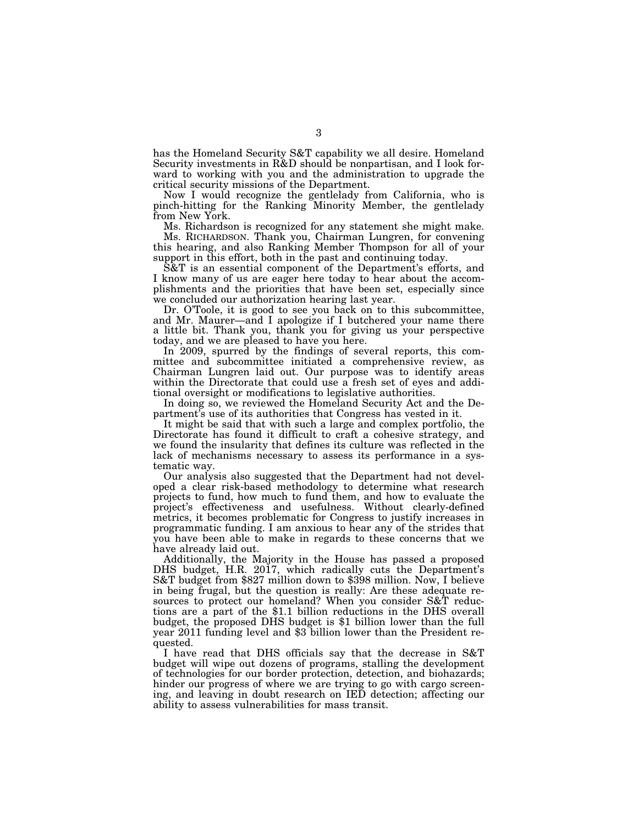has the Homeland Security S&T capability we all desire. Homeland Security investments in R&D should be nonpartisan, and I look forward to working with you and the administration to upgrade the critical security missions of the Department.

Now I would recognize the gentlelady from California, who is pinch-hitting for the Ranking Minority Member, the gentlelady from New York.

Ms. Richardson is recognized for any statement she might make. Ms. RICHARDSON. Thank you, Chairman Lungren, for convening this hearing, and also Ranking Member Thompson for all of your support in this effort, both in the past and continuing today.

S&T is an essential component of the Department's efforts, and I know many of us are eager here today to hear about the accomplishments and the priorities that have been set, especially since we concluded our authorization hearing last year.

Dr. O'Toole, it is good to see you back on to this subcommittee, and Mr. Maurer—and I apologize if I butchered your name there a little bit. Thank you, thank you for giving us your perspective today, and we are pleased to have you here.

In 2009, spurred by the findings of several reports, this committee and subcommittee initiated a comprehensive review, as Chairman Lungren laid out. Our purpose was to identify areas within the Directorate that could use a fresh set of eyes and additional oversight or modifications to legislative authorities.

In doing so, we reviewed the Homeland Security Act and the Department's use of its authorities that Congress has vested in it.

It might be said that with such a large and complex portfolio, the Directorate has found it difficult to craft a cohesive strategy, and we found the insularity that defines its culture was reflected in the lack of mechanisms necessary to assess its performance in a systematic way.

Our analysis also suggested that the Department had not developed a clear risk-based methodology to determine what research projects to fund, how much to fund them, and how to evaluate the project's effectiveness and usefulness. Without clearly-defined metrics, it becomes problematic for Congress to justify increases in programmatic funding. I am anxious to hear any of the strides that you have been able to make in regards to these concerns that we have already laid out.

Additionally, the Majority in the House has passed a proposed DHS budget, H.R. 2017, which radically cuts the Department's S&T budget from \$827 million down to \$398 million. Now, I believe in being frugal, but the question is really: Are these adequate resources to protect our homeland? When you consider S&T reductions are a part of the \$1.1 billion reductions in the DHS overall budget, the proposed DHS budget is \$1 billion lower than the full year 2011 funding level and \$3 billion lower than the President requested.

I have read that DHS officials say that the decrease in S&T budget will wipe out dozens of programs, stalling the development of technologies for our border protection, detection, and biohazards; hinder our progress of where we are trying to go with cargo screening, and leaving in doubt research on IED detection; affecting our ability to assess vulnerabilities for mass transit.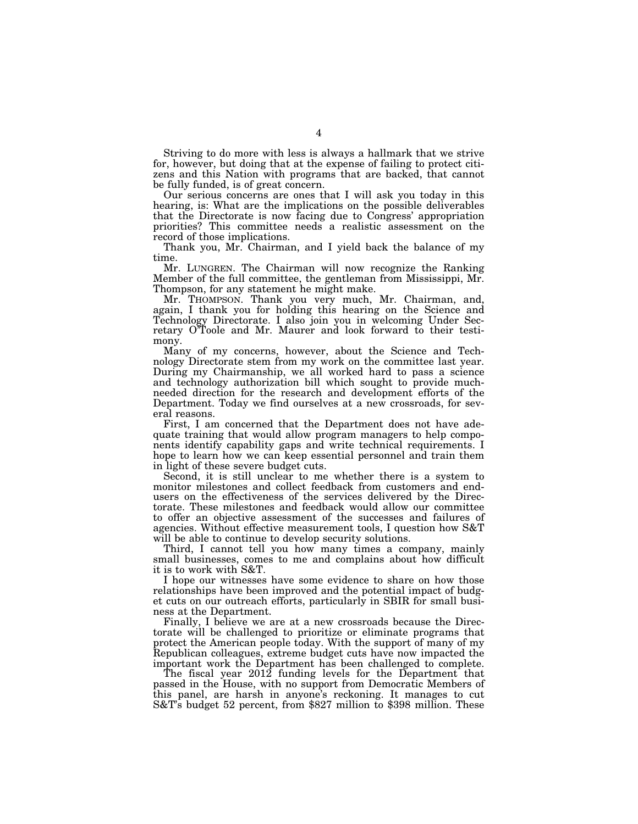Striving to do more with less is always a hallmark that we strive for, however, but doing that at the expense of failing to protect citizens and this Nation with programs that are backed, that cannot be fully funded, is of great concern.

Our serious concerns are ones that I will ask you today in this hearing, is: What are the implications on the possible deliverables that the Directorate is now facing due to Congress' appropriation priorities? This committee needs a realistic assessment on the record of those implications.

Thank you, Mr. Chairman, and I yield back the balance of my time.

Mr. LUNGREN. The Chairman will now recognize the Ranking Member of the full committee, the gentleman from Mississippi, Mr. Thompson, for any statement he might make.

Mr. THOMPSON. Thank you very much, Mr. Chairman, and, again, I thank you for holding this hearing on the Science and Technology Directorate. I also join you in welcoming Under Secretary O'Toole and Mr. Maurer and look forward to their testimony.

Many of my concerns, however, about the Science and Technology Directorate stem from my work on the committee last year. During my Chairmanship, we all worked hard to pass a science and technology authorization bill which sought to provide muchneeded direction for the research and development efforts of the Department. Today we find ourselves at a new crossroads, for several reasons.

First, I am concerned that the Department does not have adequate training that would allow program managers to help components identify capability gaps and write technical requirements. I hope to learn how we can keep essential personnel and train them in light of these severe budget cuts.

Second, it is still unclear to me whether there is a system to monitor milestones and collect feedback from customers and endusers on the effectiveness of the services delivered by the Directorate. These milestones and feedback would allow our committee to offer an objective assessment of the successes and failures of agencies. Without effective measurement tools, I question how S&T will be able to continue to develop security solutions.

Third, I cannot tell you how many times a company, mainly small businesses, comes to me and complains about how difficult it is to work with S&T.

I hope our witnesses have some evidence to share on how those relationships have been improved and the potential impact of budget cuts on our outreach efforts, particularly in SBIR for small business at the Department.

Finally, I believe we are at a new crossroads because the Directorate will be challenged to prioritize or eliminate programs that protect the American people today. With the support of many of my Republican colleagues, extreme budget cuts have now impacted the important work the Department has been challenged to complete.

The fiscal year 2012 funding levels for the Department that passed in the House, with no support from Democratic Members of this panel, are harsh in anyone's reckoning. It manages to cut S&T's budget 52 percent, from \$827 million to \$398 million. These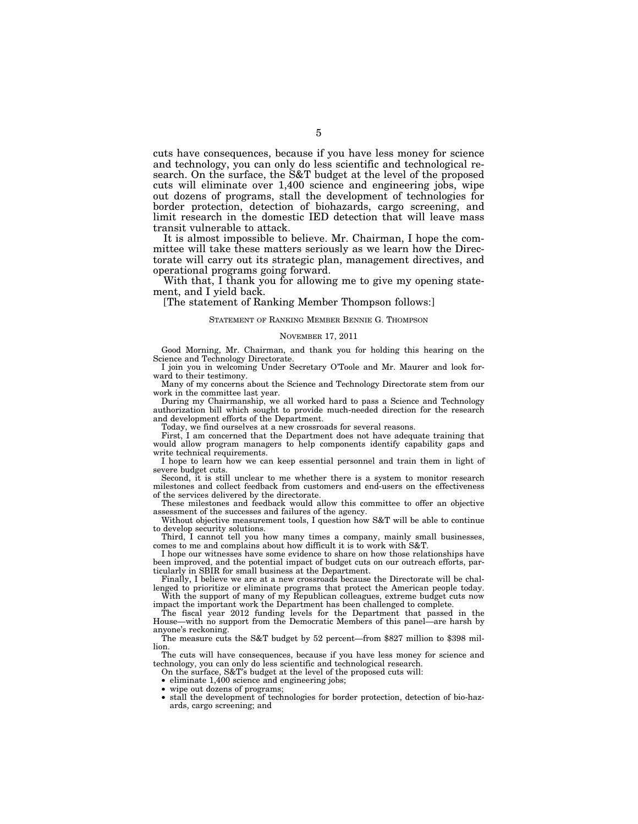cuts have consequences, because if you have less money for science and technology, you can only do less scientific and technological research. On the surface, the S&T budget at the level of the proposed cuts will eliminate over 1,400 science and engineering jobs, wipe out dozens of programs, stall the development of technologies for border protection, detection of biohazards, cargo screening, and limit research in the domestic IED detection that will leave mass transit vulnerable to attack.

It is almost impossible to believe. Mr. Chairman, I hope the committee will take these matters seriously as we learn how the Directorate will carry out its strategic plan, management directives, and operational programs going forward.

With that, I thank you for allowing me to give my opening statement, and I yield back.

[The statement of Ranking Member Thompson follows:]

# STATEMENT OF RANKING MEMBER BENNIE G. THOMPSON

#### NOVEMBER 17, 2011

Good Morning, Mr. Chairman, and thank you for holding this hearing on the Science and Technology Directorate.

I join you in welcoming Under Secretary O'Toole and Mr. Maurer and look forward to their testimony.

Many of my concerns about the Science and Technology Directorate stem from our work in the committee last year.

During my Chairmanship, we all worked hard to pass a Science and Technology authorization bill which sought to provide much-needed direction for the research and development efforts of the Department.

Today, we find ourselves at a new crossroads for several reasons.

First, I am concerned that the Department does not have adequate training that would allow program managers to help components identify capability gaps and write technical requirements.

I hope to learn how we can keep essential personnel and train them in light of severe budget cuts.

Second, it is still unclear to me whether there is a system to monitor research milestones and collect feedback from customers and end-users on the effectiveness of the services delivered by the directorate.

These milestones and feedback would allow this committee to offer an objective assessment of the successes and failures of the agency.

Without objective measurement tools, I question how S&T will be able to continue to develop security solutions.

Third, I cannot tell you how many times a company, mainly small businesses, comes to me and complains about how difficult it is to work with S&T.

I hope our witnesses have some evidence to share on how those relationships have been improved, and the potential impact of budget cuts on our outreach efforts, particularly in SBIR for small business at the Department.

Finally, I believe we are at a new crossroads because the Directorate will be challenged to prioritize or eliminate programs that protect the American people today. With the support of many of my Republican colleagues, extreme budget cuts now

impact the important work the Department has been challenged to complete. The fiscal year 2012 funding levels for the Department that passed in the

House—with no support from the Democratic Members of this panel—are harsh by anyone's reckoning.

The measure cuts the S&T budget by 52 percent—from \$827 million to \$398 million.

The cuts will have consequences, because if you have less money for science and technology, you can only do less scientific and technological research.

On the surface, S&T's budget at the level of the proposed cuts will:

• eliminate 1,400 science and engineering jobs;

wipe out dozens of programs;

• stall the development of technologies for border protection, detection of bio-hazards, cargo screening; and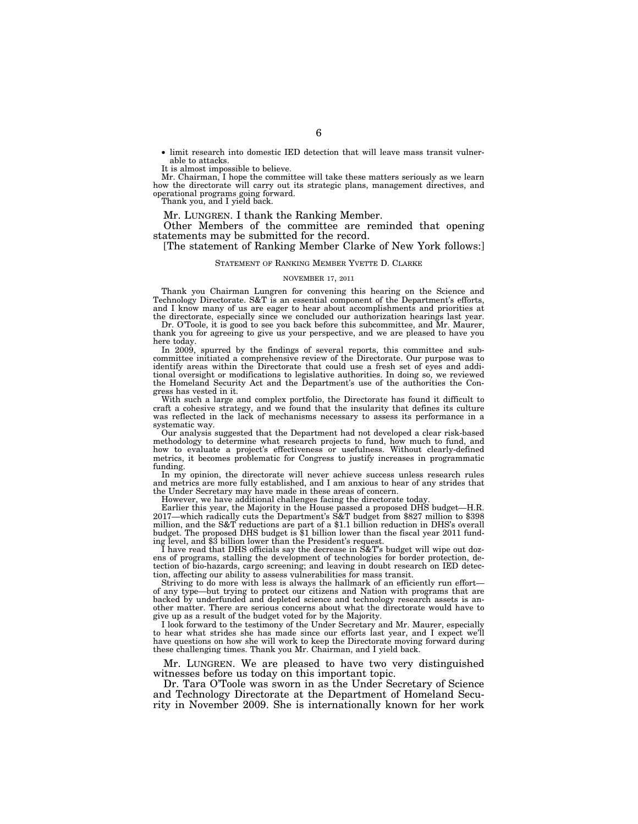• limit research into domestic IED detection that will leave mass transit vulnerable to attacks.

It is almost impossible to believe.

Mr. Chairman, I hope the committee will take these matters seriously as we learn how the directorate will carry out its strategic plans, management directives, and operational programs going forward.

Thank you, and I yield back.

Mr. LUNGREN. I thank the Ranking Member.

Other Members of the committee are reminded that opening statements may be submitted for the record.

[The statement of Ranking Member Clarke of New York follows:]

# STATEMENT OF RANKING MEMBER YVETTE D. CLARKE

#### NOVEMBER 17, 2011

Thank you Chairman Lungren for convening this hearing on the Science and Technology Directorate. S&T is an essential component of the Department's efforts, and I know many of us are eager to hear about accomplishments and priorities at the directorate, especially since we concluded our authorization hearings last year.

Dr. O'Toole, it is good to see you back before this subcommittee, and Mr. Maurer, thank you for agreeing to give us your perspective, and we are pleased to have you here today.

In 2009, spurred by the findings of several reports, this committee and subcommittee initiated a comprehensive review of the Directorate. Our purpose was to identify areas within the Directorate that could use a fresh set of eyes and additional oversight or modifications to legislative authorities. In doing so, we reviewed the Homeland Security Act and the Department's use of the authorities the Congress has vested in it.

With such a large and complex portfolio, the Directorate has found it difficult to craft a cohesive strategy, and we found that the insularity that defines its culture was reflected in the lack of mechanisms necessary to assess its performance in a systematic way.

Our analysis suggested that the Department had not developed a clear risk-based methodology to determine what research projects to fund, how much to fund, and how to evaluate a project's effectiveness or usefulness. Without clearly-defined metrics, it becomes problematic for Congress to justify increases in programmatic funding.

In my opinion, the directorate will never achieve success unless research rules and metrics are more fully established, and I am anxious to hear of any strides that the Under Secretary may have made in these areas of concern.

However, we have additional challenges facing the directorate today.

Earlier this year, the Majority in the House passed a proposed DHS budget—H.R. 2017—which radically cuts the Department's S&T budget from \$827 million to \$398 million, and the S&T reductions are part of a \$1.1 billion reduction in DHS's overall budget. The proposed DHS budget is \$1 billion lower than the fiscal year 2011 funding level, and \$3 billion lower than the President's request.

I have read that DHS officials say the decrease in S&T's budget will wipe out dozens of programs, stalling the development of technologies for border protection, detection of bio-hazards, cargo screening; and leaving in doubt research on IED detection, affecting our ability to assess vulnerabilities for mass transit.

Striving to do more with less is always the hallmark of an efficiently run effort of any type—but trying to protect our citizens and Nation with programs that are backed by underfunded and depleted science and technology research assets is another matter. There are serious concerns about what the directorate would have to give up as a result of the budget voted for by the Majority.

I look forward to the testimony of the Under Secretary and Mr. Maurer, especially to hear what strides she has made since our efforts last year, and I expect we'll have questions on how she will work to keep the Directorate moving forward during these challenging times. Thank you Mr. Chairman, and I yield back.

Mr. LUNGREN. We are pleased to have two very distinguished witnesses before us today on this important topic.

Dr. Tara O'Toole was sworn in as the Under Secretary of Science and Technology Directorate at the Department of Homeland Security in November 2009. She is internationally known for her work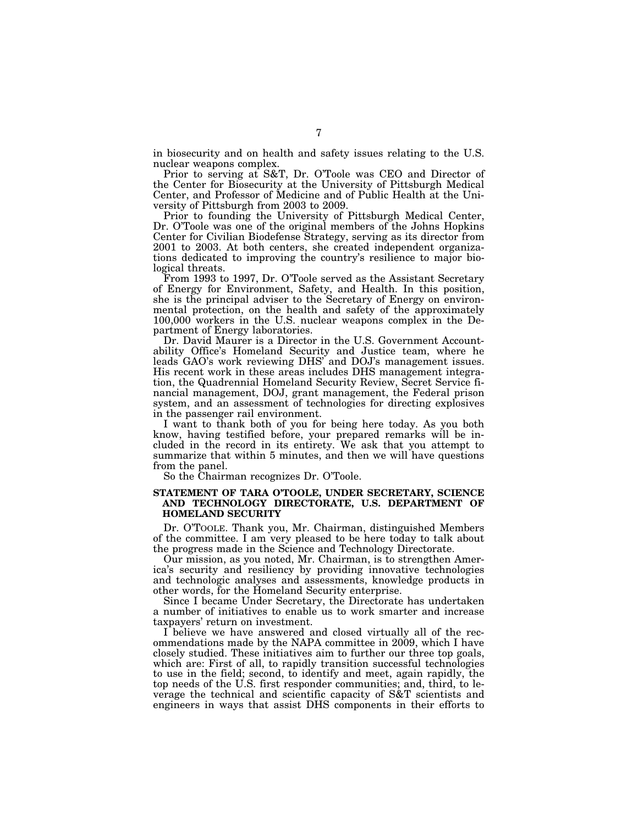in biosecurity and on health and safety issues relating to the U.S. nuclear weapons complex.

Prior to serving at S&T, Dr. O'Toole was CEO and Director of the Center for Biosecurity at the University of Pittsburgh Medical Center, and Professor of Medicine and of Public Health at the University of Pittsburgh from 2003 to 2009.

Prior to founding the University of Pittsburgh Medical Center, Dr. O'Toole was one of the original members of the Johns Hopkins Center for Civilian Biodefense Strategy, serving as its director from 2001 to 2003. At both centers, she created independent organizations dedicated to improving the country's resilience to major biological threats.

From 1993 to 1997, Dr. O'Toole served as the Assistant Secretary of Energy for Environment, Safety, and Health. In this position, she is the principal adviser to the Secretary of Energy on environmental protection, on the health and safety of the approximately 100,000 workers in the U.S. nuclear weapons complex in the Department of Energy laboratories.

Dr. David Maurer is a Director in the U.S. Government Accountability Office's Homeland Security and Justice team, where he leads GAO's work reviewing DHS' and DOJ's management issues. His recent work in these areas includes DHS management integration, the Quadrennial Homeland Security Review, Secret Service financial management, DOJ, grant management, the Federal prison system, and an assessment of technologies for directing explosives in the passenger rail environment.

I want to thank both of you for being here today. As you both know, having testified before, your prepared remarks will be included in the record in its entirety. We ask that you attempt to summarize that within 5 minutes, and then we will have questions from the panel.

So the Chairman recognizes Dr. O'Toole.

# **STATEMENT OF TARA O'TOOLE, UNDER SECRETARY, SCIENCE AND TECHNOLOGY DIRECTORATE, U.S. DEPARTMENT OF HOMELAND SECURITY**

Dr. O'TOOLE. Thank you, Mr. Chairman, distinguished Members of the committee. I am very pleased to be here today to talk about the progress made in the Science and Technology Directorate.

Our mission, as you noted, Mr. Chairman, is to strengthen America's security and resiliency by providing innovative technologies and technologic analyses and assessments, knowledge products in other words, for the Homeland Security enterprise.

Since I became Under Secretary, the Directorate has undertaken a number of initiatives to enable us to work smarter and increase taxpayers' return on investment.

I believe we have answered and closed virtually all of the recommendations made by the NAPA committee in 2009, which I have closely studied. These initiatives aim to further our three top goals, which are: First of all, to rapidly transition successful technologies to use in the field; second, to identify and meet, again rapidly, the top needs of the U.S. first responder communities; and, third, to leverage the technical and scientific capacity of S&T scientists and engineers in ways that assist DHS components in their efforts to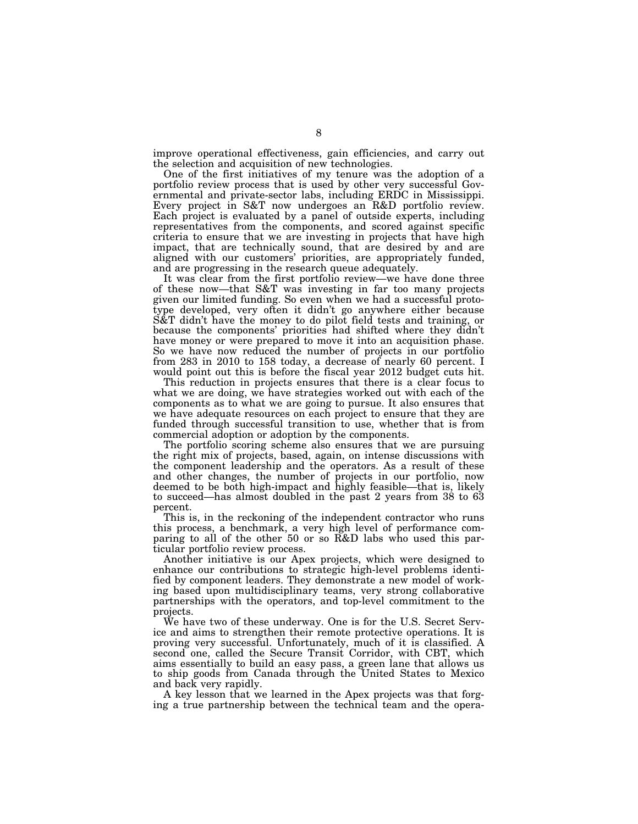improve operational effectiveness, gain efficiencies, and carry out the selection and acquisition of new technologies.

One of the first initiatives of my tenure was the adoption of a portfolio review process that is used by other very successful Governmental and private-sector labs, including ERDC in Mississippi. Every project in S&T now undergoes an R&D portfolio review. Each project is evaluated by a panel of outside experts, including representatives from the components, and scored against specific criteria to ensure that we are investing in projects that have high impact, that are technically sound, that are desired by and are aligned with our customers' priorities, are appropriately funded, and are progressing in the research queue adequately.

It was clear from the first portfolio review—we have done three of these now—that S&T was investing in far too many projects given our limited funding. So even when we had a successful prototype developed, very often it didn't go anywhere either because S&T didn't have the money to do pilot field tests and training, or because the components' priorities had shifted where they didn't have money or were prepared to move it into an acquisition phase. So we have now reduced the number of projects in our portfolio from 283 in 2010 to 158 today, a decrease of nearly 60 percent. I would point out this is before the fiscal year 2012 budget cuts hit.

This reduction in projects ensures that there is a clear focus to what we are doing, we have strategies worked out with each of the components as to what we are going to pursue. It also ensures that we have adequate resources on each project to ensure that they are funded through successful transition to use, whether that is from commercial adoption or adoption by the components.

The portfolio scoring scheme also ensures that we are pursuing the right mix of projects, based, again, on intense discussions with the component leadership and the operators. As a result of these and other changes, the number of projects in our portfolio, now deemed to be both high-impact and highly feasible—that is, likely to succeed—has almost doubled in the past 2 years from 38 to 63 percent.

This is, in the reckoning of the independent contractor who runs this process, a benchmark, a very high level of performance comparing to all of the other 50 or so R&D labs who used this particular portfolio review process.

Another initiative is our Apex projects, which were designed to enhance our contributions to strategic high-level problems identified by component leaders. They demonstrate a new model of working based upon multidisciplinary teams, very strong collaborative partnerships with the operators, and top-level commitment to the projects.

We have two of these underway. One is for the U.S. Secret Service and aims to strengthen their remote protective operations. It is proving very successful. Unfortunately, much of it is classified. A second one, called the Secure Transit Corridor, with CBT, which aims essentially to build an easy pass, a green lane that allows us to ship goods from Canada through the United States to Mexico and back very rapidly.

A key lesson that we learned in the Apex projects was that forging a true partnership between the technical team and the opera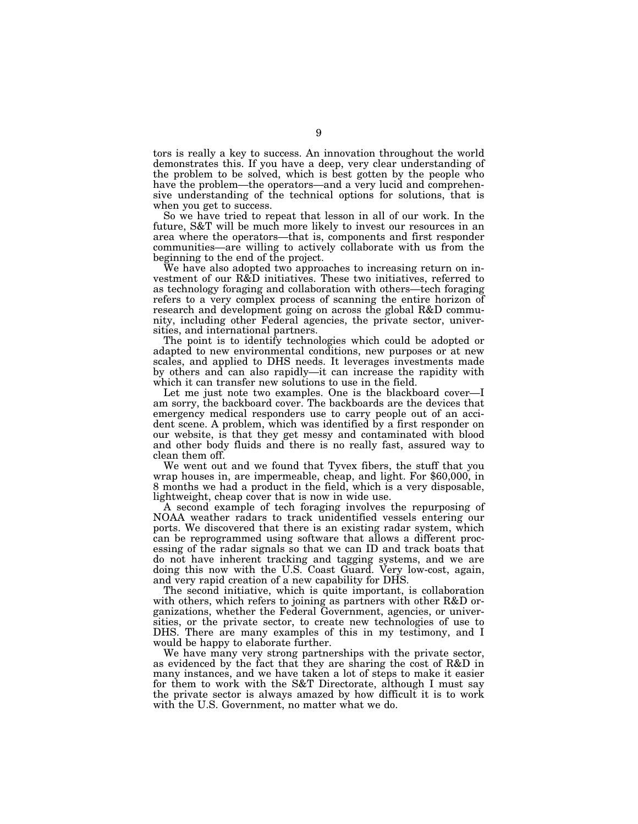tors is really a key to success. An innovation throughout the world demonstrates this. If you have a deep, very clear understanding of the problem to be solved, which is best gotten by the people who have the problem—the operators—and a very lucid and comprehensive understanding of the technical options for solutions, that is when you get to success.

So we have tried to repeat that lesson in all of our work. In the future, S&T will be much more likely to invest our resources in an area where the operators—that is, components and first responder communities—are willing to actively collaborate with us from the beginning to the end of the project.

We have also adopted two approaches to increasing return on investment of our R&D initiatives. These two initiatives, referred to as technology foraging and collaboration with others—tech foraging refers to a very complex process of scanning the entire horizon of research and development going on across the global R&D community, including other Federal agencies, the private sector, universities, and international partners.

The point is to identify technologies which could be adopted or adapted to new environmental conditions, new purposes or at new scales, and applied to DHS needs. It leverages investments made by others and can also rapidly—it can increase the rapidity with which it can transfer new solutions to use in the field.

Let me just note two examples. One is the blackboard cover—I am sorry, the backboard cover. The backboards are the devices that emergency medical responders use to carry people out of an accident scene. A problem, which was identified by a first responder on our website, is that they get messy and contaminated with blood and other body fluids and there is no really fast, assured way to

clean them off.<br>We went out and we found that Tyvex fibers, the stuff that you wrap houses in, are impermeable, cheap, and light. For  $$60,000$ , in 8 months we had a product in the field, which is a very disposable, lightweight, cheap cover that is now in wide use.

A second example of tech foraging involves the repurposing of NOAA weather radars to track unidentified vessels entering our ports. We discovered that there is an existing radar system, which can be reprogrammed using software that allows a different processing of the radar signals so that we can ID and track boats that do not have inherent tracking and tagging systems, and we are doing this now with the U.S. Coast Guard. Very low-cost, again, and very rapid creation of a new capability for DHS.

The second initiative, which is quite important, is collaboration with others, which refers to joining as partners with other R&D organizations, whether the Federal Government, agencies, or universities, or the private sector, to create new technologies of use to DHS. There are many examples of this in my testimony, and I would be happy to elaborate further.

We have many very strong partnerships with the private sector, as evidenced by the fact that they are sharing the cost of R&D in many instances, and we have taken a lot of steps to make it easier for them to work with the S&T Directorate, although I must say the private sector is always amazed by how difficult it is to work with the U.S. Government, no matter what we do.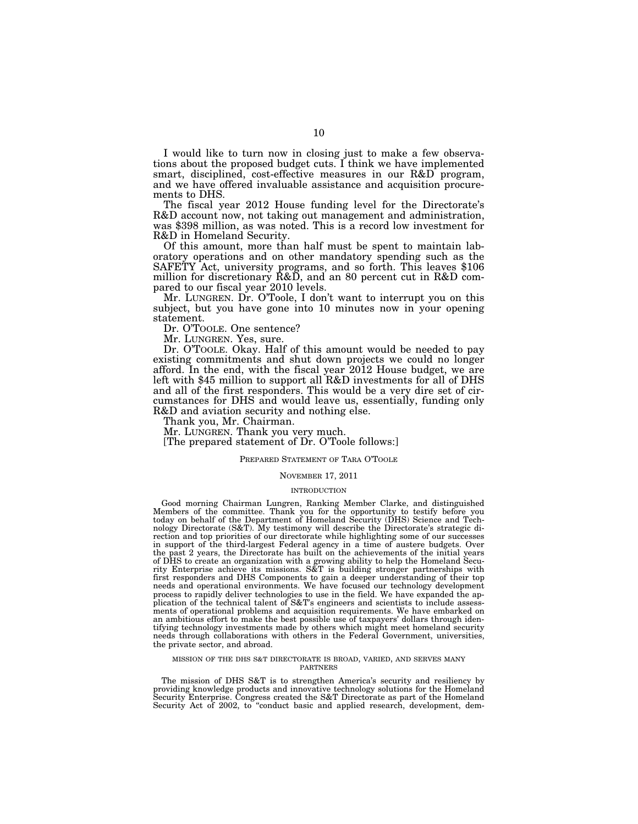I would like to turn now in closing just to make a few observations about the proposed budget cuts. I think we have implemented smart, disciplined, cost-effective measures in our R&D program, and we have offered invaluable assistance and acquisition procurements to DHS.

The fiscal year 2012 House funding level for the Directorate's R&D account now, not taking out management and administration, was \$398 million, as was noted. This is a record low investment for R&D in Homeland Security.

Of this amount, more than half must be spent to maintain laboratory operations and on other mandatory spending such as the SAFETY Act, university programs, and so forth. This leaves \$106 million for discretionary R&D, and an 80 percent cut in R&D compared to our fiscal year 2010 levels.

Mr. LUNGREN. Dr. O'Toole, I don't want to interrupt you on this subject, but you have gone into 10 minutes now in your opening statement.

Dr. O'TOOLE. One sentence?

Mr. LUNGREN. Yes, sure.

Dr. O'TOOLE. Okay. Half of this amount would be needed to pay existing commitments and shut down projects we could no longer afford. In the end, with the fiscal year 2012 House budget, we are left with \$45 million to support all R&D investments for all of DHS and all of the first responders. This would be a very dire set of circumstances for DHS and would leave us, essentially, funding only R&D and aviation security and nothing else.

Thank you, Mr. Chairman.

Mr. LUNGREN. Thank you very much.

[The prepared statement of Dr. O'Toole follows:]

# PREPARED STATEMENT OF TARA O'TOOLE

# NOVEMBER 17, 2011

#### INTRODUCTION

Good morning Chairman Lungren, Ranking Member Clarke, and distinguished Members of the committee. Thank you for the opportunity to testify before you today on behalf of the Department of Homeland Security (DHS) Science and Technology Directorate (S&T). My testimony will describe the Directorate's strategic di-rection and top priorities of our directorate while highlighting some of our successes in support of the third-largest Federal agency in a time of austere budgets. Over the past 2 years, the Directorate has built on the achievements of the initial years of DHS to create an organization with a growing ability to help the Homeland Secu-rity Enterprise achieve its missions. S&T is building stronger partnerships with first responders and DHS Components to gain a deeper understanding of their top needs and operational environments. We have focused our technology development process to rapidly deliver technologies to use in the field. We have expanded the application of the technical talent of S&T's engineers and scientists to include assessments of operational problems and acquisition requirements. We have embarked on an ambitious effort to make the best possible use of taxpayers' dollars through identifying technology investments made by others which might meet homeland security needs through collaborations with others in the Federal Government, universities, the private sector, and abroad.

#### MISSION OF THE DHS S&T DIRECTORATE IS BROAD, VARIED, AND SERVES MANY PARTNERS

The mission of DHS S&T is to strengthen America's security and resiliency by providing knowledge products and innovative technology solutions for the Homeland Security Enterprise. Congress created the S&T Directorate as part of the Homeland Security Act of 2002, to ''conduct basic and applied research, development, dem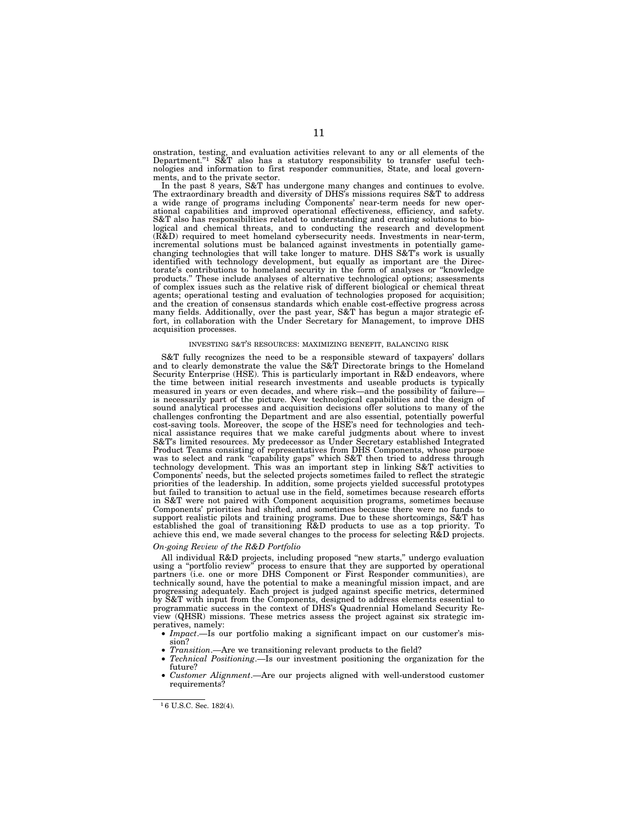onstration, testing, and evaluation activities relevant to any or all elements of the Department.''1 S&T also has a statutory responsibility to transfer useful technologies and information to first responder communities, State, and local governments, and to the private sector.

In the past 8 years, S&T has undergone many changes and continues to evolve. The extraordinary breadth and diversity of DHS's missions requires S&T to address a wide range of programs including Components' near-term needs for new operational capabilities and improved operational effectiveness, efficiency, and safety. S&T also has responsibilities related to understanding and creating solutions to biological and chemical threats, and to conducting the research and development (R&D) required to meet homeland cybersecurity needs. Investments in near-term, incremental solutions must be balanced against investments in potentially gamechanging technologies that will take longer to mature. DHS S&T's work is usually identified with technology development, but equally as important are the Directorate's contributions to homeland security in the form of analyses or ''knowledge products.'' These include analyses of alternative technological options; assessments of complex issues such as the relative risk of different biological or chemical threat agents; operational testing and evaluation of technologies proposed for acquisition; and the creation of consensus standards which enable cost-effective progress across many fields. Additionally, over the past year, S&T has begun a major strategic effort, in collaboration with the Under Secretary for Management, to improve DHS acquisition processes.

#### INVESTING S&T'S RESOURCES: MAXIMIZING BENEFIT, BALANCING RISK

S&T fully recognizes the need to be a responsible steward of taxpayers' dollars and to clearly demonstrate the value the S&T Directorate brings to the Homeland Security Enterprise (HSE). This is particularly important in R&D endeavors, where the time between initial research investments and useable products is typically measured in years or even decades, and where risk—and the possibility of failure is necessarily part of the picture. New technological capabilities and the design of sound analytical processes and acquisition decisions offer solutions to many of the challenges confronting the Department and are also essential, potentially powerful cost-saving tools. Moreover, the scope of the HSE's need for technologies and technical assistance requires that we make careful judgments about where to invest S&T's limited resources. My predecessor as Under Secretary established Integrated Product Teams consisting of representatives from DHS Components, whose purpose was to select and rank "capability gaps" which S&T then tried to address through technology development. This was an important step in linking S&T activities to Components' needs, but the selected projects sometimes failed to reflect the strategic priorities of the leadership. In addition, some projects yielded successful prototypes but failed to transition to actual use in the field, sometimes because research efforts in S&T were not paired with Component acquisition programs, sometimes because Components' priorities had shifted, and sometimes because there were no funds to support realistic pilots and training programs. Due to these shortcomings, S&T has established the goal of transitioning R&D products to use as a top priority. To achieve this end, we made several changes to the process for selecting R&D projects.

# *On-going Review of the R&D Portfolio*

All individual R&D projects, including proposed ''new starts,'' undergo evaluation using a ''portfolio review'' process to ensure that they are supported by operational partners (i.e. one or more DHS Component or First Responder communities), are technically sound, have the potential to make a meaningful mission impact, and are progressing adequately. Each project is judged against specific metrics, determined by S&T with input from the Components, designed to address elements essential to programmatic success in the context of DHS's Quadrennial Homeland Security Review (QHSR) missions. These metrics assess the project against six strategic imperatives, namely:

- *Impact*.—Is our portfolio making a significant impact on our customer's mission?
- *Transition*.—Are we transitioning relevant products to the field?
- *Technical Positioning*.—Is our investment positioning the organization for the future?
- *Customer Alignment*.—Are our projects aligned with well-understood customer requirements?

<sup>1</sup> 6 U.S.C. Sec. 182(4).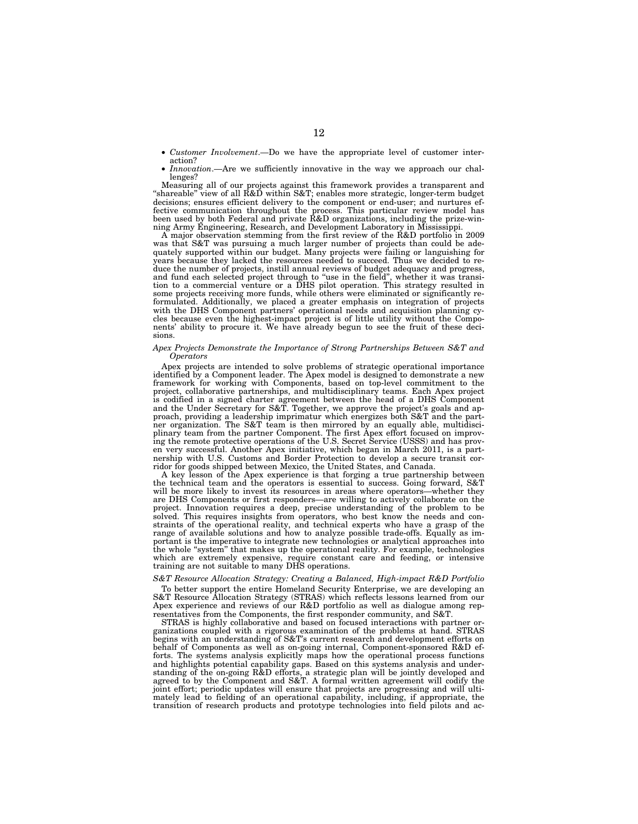- *Customer Involvement*.—Do we have the appropriate level of customer interaction?
- *Innovation*.—Are we sufficiently innovative in the way we approach our challenges?

Measuring all of our projects against this framework provides a transparent and ''shareable'' view of all R&D within S&T; enables more strategic, longer-term budget decisions; ensures efficient delivery to the component or end-user; and nurtures effective communication throughout the process. This particular review model has been used by both Federal and private R&D organizations, including the prize-winning Army Engineering, Research, and Development Laboratory in Mississippi.

A major observation stemming from the first review of the R&D portfolio in 2009 was that S&T was pursuing a much larger number of projects than could be adequately supported within our budget. Many projects were failing or languishing for years because they lacked the resources needed to succeed. Thus we decided to reduce the number of projects, instill annual reviews of budget adequacy and progress, and fund each selected project through to ''use in the field'', whether it was transition to a commercial venture or a DHS pilot operation. This strategy resulted in some projects receiving more funds, while others were eliminated or significantly reformulated. Additionally, we placed a greater emphasis on integration of projects with the DHS Component partners' operational needs and acquisition planning cycles because even the highest-impact project is of little utility without the Components' ability to procure it. We have already begun to see the fruit of these decisions.

#### *Apex Projects Demonstrate the Importance of Strong Partnerships Between S&T and Operators*

Apex projects are intended to solve problems of strategic operational importance identified by a Component leader. The Apex model is designed to demonstrate a new framework for working with Components, based on top-level commitment to the project, collaborative partnerships, and multidisciplinary teams. Each Apex project is codified in a signed charter agreement between the head of a DHS Component and the Under Secretary for S&T. Together, we approve the project's goals and approach, providing a leadership imprimatur which energizes both S&T and the partner organization. The S&T team is then mirrored by an equally able, multidisciplinary team from the partner Component. The first Apex effort focused on improving the remote protective operations of the U.S. Secret Service (USSS) and has proven very successful. Another Apex initiative, which began in March 2011, is a partnership with U.S. Customs and Border Protection to develop a secure transit corridor for goods shipped between Mexico, the United States, and Canada.

A key lesson of the Apex experience is that forging a true partnership between the technical team and the operators is essential to success. Going forward, S&T will be more likely to invest its resources in areas where operators—whether they are DHS Components or first responders—are willing to actively collaborate on the project. Innovation requires a deep, precise understanding of the problem to be solved. This requires insights from operators, who best know the needs and constraints of the operational reality, and technical experts who have a grasp of the range of available solutions and how to analyze possible trade-offs. Equally as important is the imperative to integrate new technologies or analytical approaches into the whole "system" that makes up the operational reality. For example, technologies which are extremely expensive, require constant care and feeding, or intensive training are not suitable to many DHS operations.

# *S&T Resource Allocation Strategy: Creating a Balanced, High-impact R&D Portfolio*

To better support the entire Homeland Security Enterprise, we are developing an S&T Resource Allocation Strategy (STRAS) which reflects lessons learned from our Apex experience and reviews of our R&D portfolio as well as dialogue among representatives from the Components, the first responder community, and S&T.

STRAS is highly collaborative and based on focused interactions with partner organizations coupled with a rigorous examination of the problems at hand. STRAS begins with an understanding of S&T's current research and development efforts on behalf of Components as well as on-going internal, Component-sponsored R&D efforts. The systems analysis explicitly maps how the operational process functions and highlights potential capability gaps. Based on this systems analysis and understanding of the on-going R&D efforts, a strategic plan will be jointly developed and agreed to by the Component and S&T. A formal written agreement will codify the joint effort; periodic updates will ensure that projects are progressing and will ultimately lead to fielding of an operational capability, including, if appropriate, the transition of research products and prototype technologies into field pilots and ac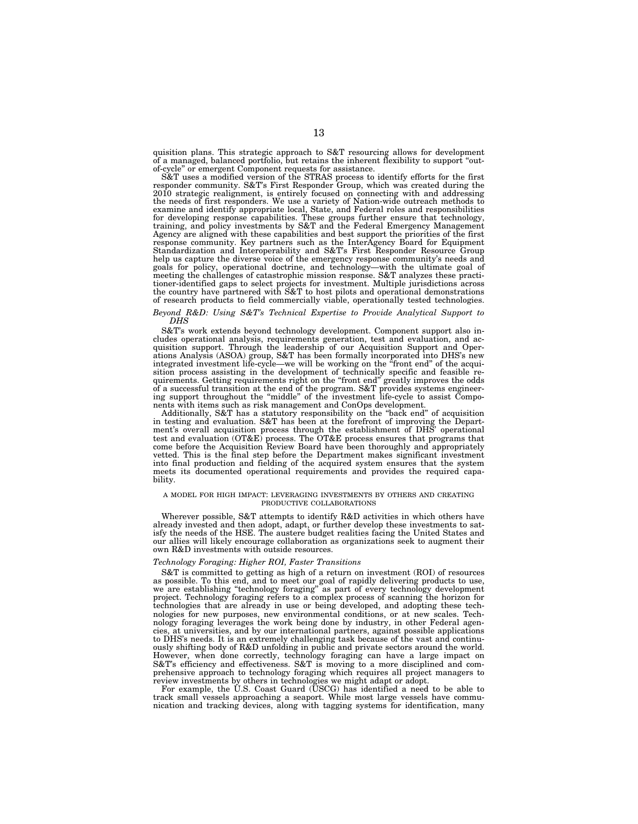quisition plans. This strategic approach to S&T resourcing allows for development of a managed, balanced portfolio, but retains the inherent flexibility to support ''outof-cycle'' or emergent Component requests for assistance.

S&T uses a modified version of the STRAS process to identify efforts for the first responder community. S&T's First Responder Group, which was created during the 2010 strategic realignment, is entirely focused on connecting with and addressing the needs of first responders. We use a variety of Nation-wide outreach methods to examine and identify appropriate local, State, and Federal roles and responsibilities for developing response capabilities. These groups further ensure that technology,<br>training, and policy investments by S&T and the Federal Emergency Management<br>Agency are aligned with these capabilities and best support th response community. Key partners such as the InterAgency Board for Equipment Standardization and Interoperability and S&T's First Responder Resource Group help us capture the diverse voice of the emergency response community's needs and<br>goals for policy, operational doctrine, and technology—with the ultimate goal of<br>meeting the challenges of catastrophic mission response. S& the country have partnered with S&T to host pilots and operational demonstrations of research products to field commercially viable, operationally tested technologies.

#### *Beyond R&D: Using S&T's Technical Expertise to Provide Analytical Support to DHS*

S&T's work extends beyond technology development. Component support also includes operational analysis, requirements generation, test and evaluation, and acquisition support. Through the leadership of our Acquisition Support and Oper-ations Analysis (ASOA) group, S&T has been formally incorporated into DHS's new integrated investment life-cycle—we will be working on the "front end" of the acquisition process assisting in the development of technically specific and feasible requirements. Getting requirements right on the "front end" greatly improves the odds of a successful transition at the end of the program. S&T provides systems engineer-ing support throughout the ''middle'' of the investment life-cycle to assist Components with items such as risk management and ConOps development.

Additionally, S&T has a statutory responsibility on the "back end" of acquisition in testing and evaluation. S&T has been at the forefront of improving the Department's overall acquisition process through the establishment of DHS' operational test and evaluation (OT&E) process. The OT&E process ensures that programs that come before the Acquisition Review Board have been thoroughly and appropriately vetted. This is the final step before the Department makes significant investment into final production and fielding of the acquired system ensures that the system meets its documented operational requirements and provides the required capability.

#### A MODEL FOR HIGH IMPACT: LEVERAGING INVESTMENTS BY OTHERS AND CREATING PRODUCTIVE COLLABORATIONS

Wherever possible, S&T attempts to identify R&D activities in which others have already invested and then adopt, adapt, or further develop these investments to satisfy the needs of the HSE. The austere budget realities facing the United States and our allies will likely encourage collaboration as organizations seek to augment their own R&D investments with outside resources.

## *Technology Foraging: Higher ROI, Faster Transitions*

S&T is committed to getting as high of a return on investment (ROI) of resources as possible. To this end, and to meet our goal of rapidly delivering products to use, we are establishing ''technology foraging'' as part of every technology development project. Technology foraging refers to a complex process of scanning the horizon for technologies that are already in use or being developed, and adopting these technologies for new purposes, new environmental conditions, or at new scales. Technology foraging leverages the work being done by industry, in other Federal agencies, at universities, and by our international partners, against possible applications to DHS's needs. It is an extremely challenging task because of the vast and continuously shifting body of R&D unfolding in public and private sectors around the world. However, when done correctly, technology foraging can have a large impact on S&T's efficiency and effectiveness. S&T is moving to a more disciplined and comprehensive approach to technology foraging which requires all project managers to review investments by others in technologies we might adapt or adopt.

For example, the U.S. Coast Guard (USCG) has identified a need to be able to track small vessels approaching a seaport. While most large vessels have communication and tracking devices, along with tagging systems for identification, many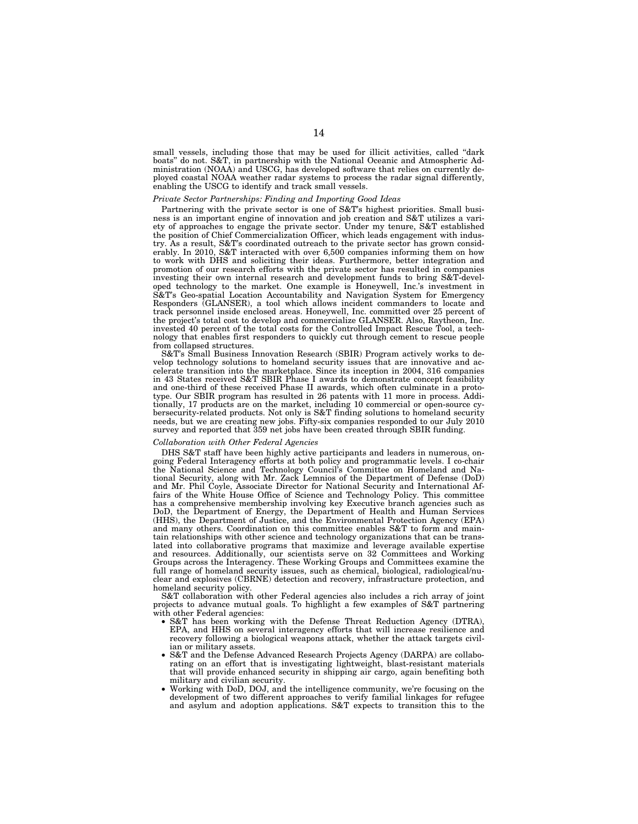small vessels, including those that may be used for illicit activities, called "dark boats'' do not. S&T, in partnership with the National Oceanic and Atmospheric Administration (NOAA) and USCG, has developed software that relies on currently deployed coastal NOAA weather radar systems to process the radar signal differently, enabling the USCG to identify and track small vessels.

# *Private Sector Partnerships: Finding and Importing Good Ideas*

Partnering with the private sector is one of S&T's highest priorities. Small business is an important engine of innovation and job creation and S&T utilizes a variety of approaches to engage the private sector. Under my tenure, S&T established the position of Chief Commercialization Officer, which leads engagement with industry. As a result, S&T's coordinated outreach to the private sector has grown considerably. In 2010, S&T interacted with over 6,500 companies informing them on how to work with DHS and soliciting their ideas. Furthermore, better integration and promotion of our research efforts with the private sector has resulted in companies investing their own internal research and development funds to bring S&T-developed technology to the market. One example is Honeywell, Inc.'s investment in S&T's Geo-spatial Location Accountability and Navigation System for Emergency Responders (GLANSER), a tool which allows incident commanders to locate and track personnel inside enclosed areas. Honeywell, Inc. committed over 25 percent of the project's total cost to develop and commercialize GLANSER. Also, Raytheon, Inc. invested 40 percent of the total costs for the Controlled Impact Rescue Tool, a technology that enables first responders to quickly cut through cement to rescue people from collapsed structures.

S&T's Small Business Innovation Research (SBIR) Program actively works to develop technology solutions to homeland security issues that are innovative and accelerate transition into the marketplace. Since its inception in 2004, 316 companies in 43 States received S&T SBIR Phase I awards to demonstrate concept feasibility and one-third of these received Phase II awards, which often culminate in a prototype. Our SBIR program has resulted in 26 patents with 11 more in process. Additionally, 17 products are on the market, including 10 commercial or open-source cybersecurity-related products. Not only is S&T finding solutions to homeland security needs, but we are creating new jobs. Fifty-six companies responded to our July 2010 survey and reported that 359 net jobs have been created through SBIR funding.

# *Collaboration with Other Federal Agencies*

DHS S&T staff have been highly active participants and leaders in numerous, ongoing Federal Interagency efforts at both policy and programmatic levels. I co-chair the National Science and Technology Council's Committee on Homeland and National Security, along with Mr. Zack Lemnios of the Department of Defense (DoD) and Mr. Phil Coyle, Associate Director for National Security and International Affairs of the White House Office of Science and Technology Policy. This committee has a comprehensive membership involving key Executive branch agencies such as DoD, the Department of Energy, the Department of Health and Human Services (HHS), the Department of Justice, and the Environmental Protection Agency (EPA) and many others. Coordination on this committee enables S&T to form and maintain relationships with other science and technology organizations that can be translated into collaborative programs that maximize and leverage available expertise and resources. Additionally, our scientists serve on 32 Committees and Working Groups across the Interagency. These Working Groups and Committees examine the full range of homeland security issues, such as chemical, biological, radiological/nuclear and explosives (CBRNE) detection and recovery, infrastructure protection, and homeland security policy.

S&T collaboration with other Federal agencies also includes a rich array of joint projects to advance mutual goals. To highlight a few examples of S&T partnering with other Federal agencies:

- S&T has been working with the Defense Threat Reduction Agency (DTRA), EPA, and HHS on several interagency efforts that will increase resilience and recovery following a biological weapons attack, whether the attack targets civilian or military assets.
- S&T and the Defense Advanced Research Projects Agency (DARPA) are collaborating on an effort that is investigating lightweight, blast-resistant materials that will provide enhanced security in shipping air cargo, again benefiting both military and civilian security.
- Working with DoD, DOJ, and the intelligence community, we're focusing on the development of two different approaches to verify familial linkages for refugee and asylum and adoption applications. S&T expects to transition this to the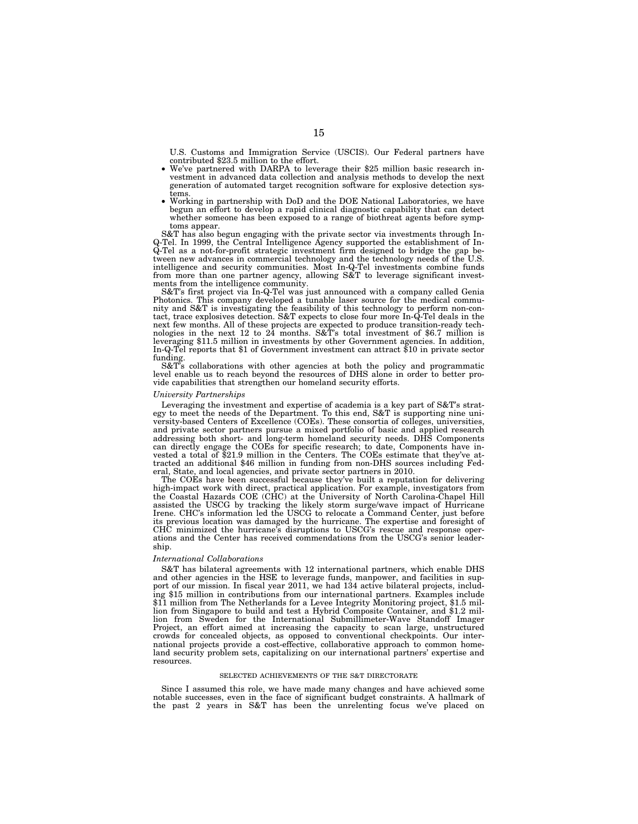U.S. Customs and Immigration Service (USCIS). Our Federal partners have contributed \$23.5 million to the effort.<br>• We've partnered with DARPA to leverage their \$25 million basic research in-

- vestment in advanced data collection and analysis methods to develop the next generation of automated target recognition software for explosive detection sys-
- tems. Working in partnership with DoD and the DOE National Laboratories, we have begun an effort to develop a rapid clinical diagnostic capability that can detect whether someone has been exposed to a range of biothreat agents before symptoms appear.

S&T has also begun engaging with the private sector via investments through In-Q-Tel. In 1999, the Central Intelligence Agency supported the establishment of In-Q-Tel as a not-for-profit strategic investment firm designed to bridge the gap between new advances in commercial technology and the technology needs of the U.S. intelligence and security communities. Most In-Q-Tel investments combine funds from more than one partner agency, allowing S&T to leverage significant invest-ments from the intelligence community.

S&T's first project via In-Q-Tel was just announced with a company called Genia Photonics. This company developed a tunable laser source for the medical community and S&T is investigating the feasibility of this technology to perform non-con-tact, trace explosives detection. S&T expects to close four more In-Q-Tel deals in the next few months. All of these projects are expected to produce transition-ready tech-nologies in the next 12 to 24 months. S&T's total investment of \$6.7 million is leveraging \$11.5 million in investments by other Government agencies. In addition, In-Q-Tel reports that \$1 of Government investment can attract \$10 in private sector funding.

S&T's collaborations with other agencies at both the policy and programmatic level enable us to reach beyond the resources of DHS alone in order to better provide capabilities that strengthen our homeland security efforts.

#### *University Partnerships*

Leveraging the investment and expertise of academia is a key part of S&T's strategy to meet the needs of the Department. To this end, S&T is supporting nine university-based Centers of Excellence (COEs). These consortia of colleges, universities, and private sector partners pursue a mixed portfolio of basic and applied research addressing both short- and long-term homeland security needs. DHS Components can directly engage the COEs for specific research; to date, Components have invested a total of \$21.9 million in the Centers. The COEs estimate that they've attracted an additional \$46 million in funding from non-DHS sources including Federal, State, and local agencies, and private sector partners in 2010.

The COEs have been successful because they've built a reputation for delivering high-impact work with direct, practical application. For example, investigators from the Coastal Hazards COE (CHC) at the University of North Carolina-Chapel Hill assisted the USCG by tracking the likely storm surge/wave impact of Hurricane Irene. CHC's information led the USCG to relocate a Command Center, just before its previous location was damaged by the hurricane. The expertise and foresight of CHC minimized the hurricane's disruptions to USCG's rescue and response operations and the Center has received commendations from the USCG's senior leadership.

# *International Collaborations*

S&T has bilateral agreements with 12 international partners, which enable DHS and other agencies in the HSE to leverage funds, manpower, and facilities in support of our mission. In fiscal year 2011, we had 134 active bilateral projects, including \$15 million in contributions from our international partners. Examples include \$11 million from The Netherlands for a Levee Integrity Monitoring project, \$1.5 million from Singapore to build and test a Hybrid Composite Container, and \$1.2 million from Sweden for the International Submillimeter-Wave Standoff Imager Project, an effort aimed at increasing the capacity to scan large, unstructured crowds for concealed objects, as opposed to conventional checkpoints. Our international projects provide a cost-effective, collaborative approach to common homeland security problem sets, capitalizing on our international partners' expertise and resources.

# SELECTED ACHIEVEMENTS OF THE S&T DIRECTORATE

Since I assumed this role, we have made many changes and have achieved some notable successes, even in the face of significant budget constraints. A hallmark of the past 2 years in S&T has been the unrelenting focus we've placed on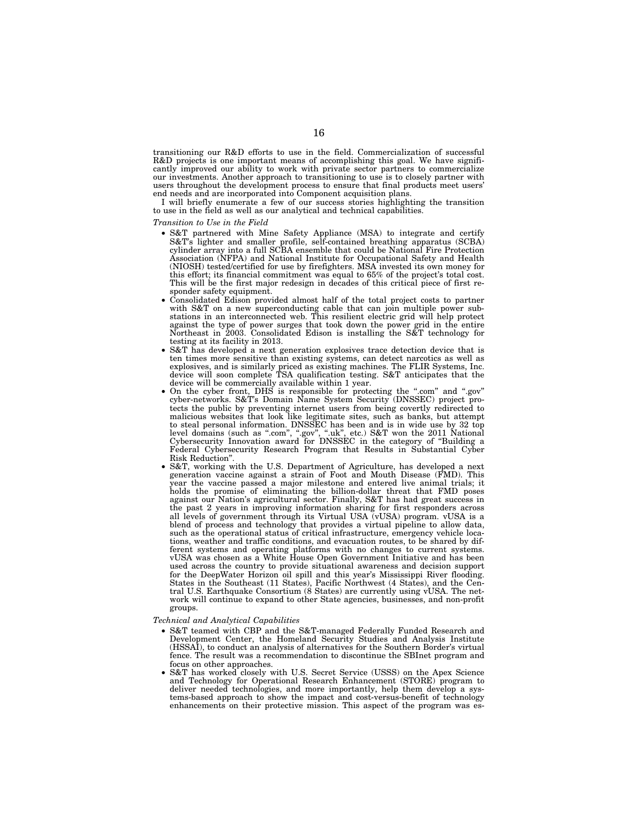transitioning our R&D efforts to use in the field. Commercialization of successful R&D projects is one important means of accomplishing this goal. We have significantly improved our ability to work with private sector partners to commercialize our investments. Another approach to transitioning to use is to closely partner with users throughout the development process to ensure that final products meet users' end needs and are incorporated into Component acquisition plans.

I will briefly enumerate a few of our success stories highlighting the transition to use in the field as well as our analytical and technical capabilities.

*Transition to Use in the Field* 

- S&T partnered with Mine Safety Appliance (MSA) to integrate and certify S&T's lighter and smaller profile, self-contained breathing apparatus (SCBA) cylinder array into a full SCBA ensemble that could be National Fire Protection Association (NFPA) and National Institute for Occupational Safety and Health (NIOSH) tested/certified for use by firefighters. MSA invested its own money for this effort; its financial commitment was equal to 65% of the project's total cost. This will be the first major redesign in decades of this critical piece of first responder safety equipment.
- Consolidated Edison provided almost half of the total project costs to partner with S&T on a new superconducting cable that can join multiple power substations in an interconnected web. This resilient electric grid will help protect against the type of power surges that took down the power grid in the entire Northeast in 2003. Consolidated Edison is installing the S&T technology for testing at its facility in 2013.
- S&T has developed a next generation explosives trace detection device that is ten times more sensitive than existing systems, can detect narcotics as well as explosives, and is similarly priced as existing machines. The FLIR Systems, Inc. device will soon complete TSA qualification testing. S&T anticipates that the device will be commercially available within 1 year.
- On the cyber front, DHS is responsible for protecting the ''.com'' and ''.gov'' cyber-networks. S&T's Domain Name System Security (DNSSEC) project protects the public by preventing internet users from being covertly redirected to malicious websites that look like legitimate sites, such as banks, but attempt to steal personal information. DNSSEC has been and is in wide use by 32 top level domains (such as ''.com'', ''.gov'', ''.uk'', etc.) S&T won the 2011 National Cybersecurity Innovation award for DNSSEC in the category of ''Building a Federal Cybersecurity Research Program that Results in Substantial Cyber Risk Reduction''.
- S&T, working with the U.S. Department of Agriculture, has developed a next generation vaccine against a strain of Foot and Mouth Disease (FMD). This year the vaccine passed a major milestone and entered live animal trials; it holds the promise of eliminating the billion-dollar threat that FMD poses against our Nation's agricultural sector. Finally, S&T has had great success in the past 2 years in improving information sharing for first responders across all levels of government through its Virtual USA (vUSA) program. vUSA is a blend of process and technology that provides a virtual pipeline to allow data, such as the operational status of critical infrastructure, emergency vehicle locations, weather and traffic conditions, and evacuation routes, to be shared by different systems and operating platforms with no changes to current systems. vUSA was chosen as a White House Open Government Initiative and has been used across the country to provide situational awareness and decision support for the DeepWater Horizon oil spill and this year's Mississippi River flooding. States in the Southeast (11 States), Pacific Northwest (4 States), and the Central U.S. Earthquake Consortium (8 States) are currently using vUSA. The network will continue to expand to other State agencies, businesses, and non-profit groups.
- *Technical and Analytical Capabilities* 
	- S&T teamed with CBP and the S&T-managed Federally Funded Research and Development Center, the Homeland Security Studies and Analysis Institute (HSSAI), to conduct an analysis of alternatives for the Southern Border's virtual fence. The result was a recommendation to discontinue the SBInet program and focus on other approaches.
	- S&T has worked closely with U.S. Secret Service (USSS) on the Apex Science and Technology for Operational Research Enhancement (STORE) program to deliver needed technologies, and more importantly, help them develop a systems-based approach to show the impact and cost-versus-benefit of technology enhancements on their protective mission. This aspect of the program was  $e^s$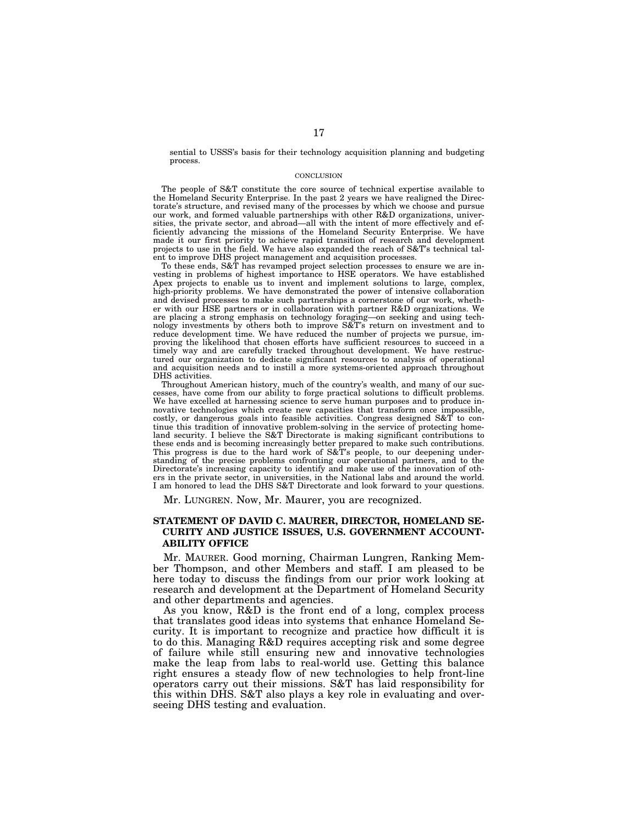sential to USSS's basis for their technology acquisition planning and budgeting process.

# **CONCLUSION**

The people of S&T constitute the core source of technical expertise available to the Homeland Security Enterprise. In the past 2 years we have realigned the Directorate's structure, and revised many of the processes by which we choose and pursue our work, and formed valuable partnerships with other R&D organizations, universities, the private sector, and abroad—all with the intent of more effectively and efficiently advancing the missions of the Homeland Security Enterprise. We have made it our first priority to achieve rapid transition of research and development projects to use in the field. We have also expanded the reach of S&T's technical talent to improve DHS project management and acquisition processes.

To these ends, S&T has revamped project selection processes to ensure we are investing in problems of highest importance to HSE operators. We have established Apex projects to enable us to invent and implement solutions to large, complex, high-priority problems. We have demonstrated the power of intensive collaboration and devised processes to make such partnerships a cornerstone of our work, whether with our HSE partners or in collaboration with partner R&D organizations. We are placing a strong emphasis on technology foraging—on seeking and using technology investments by others both to improve S&T's return on investment and to reduce development time. We have reduced the number of projects we pursue, improving the likelihood that chosen efforts have sufficient resources to succeed in a timely way and are carefully tracked throughout development. We have restructured our organization to dedicate significant resources to analysis of operational and acquisition needs and to instill a more systems-oriented approach throughout DHS activities.

Throughout American history, much of the country's wealth, and many of our successes, have come from our ability to forge practical solutions to difficult problems. We have excelled at harnessing science to serve human purposes and to produce innovative technologies which create new capacities that transform once impossible, costly, or dangerous goals into feasible activities. Congress designed S&T to continue this tradition of innovative problem-solving in the service of protecting homeland security. I believe the S&T Directorate is making significant contributions to these ends and is becoming increasingly better prepared to make such contributions. This progress is due to the hard work of S&T's people, to our deepening understanding of the precise problems confronting our operational partners, and to the Directorate's increasing capacity to identify and make use of the innovation of others in the private sector, in universities, in the National labs and around the world. I am honored to lead the DHS S&T Directorate and look forward to your questions.

Mr. LUNGREN. Now, Mr. Maurer, you are recognized.

# **STATEMENT OF DAVID C. MAURER, DIRECTOR, HOMELAND SE-CURITY AND JUSTICE ISSUES, U.S. GOVERNMENT ACCOUNT-ABILITY OFFICE**

Mr. MAURER. Good morning, Chairman Lungren, Ranking Member Thompson, and other Members and staff. I am pleased to be here today to discuss the findings from our prior work looking at research and development at the Department of Homeland Security and other departments and agencies.

As you know, R&D is the front end of a long, complex process that translates good ideas into systems that enhance Homeland Security. It is important to recognize and practice how difficult it is to do this. Managing R&D requires accepting risk and some degree of failure while still ensuring new and innovative technologies make the leap from labs to real-world use. Getting this balance right ensures a steady flow of new technologies to help front-line operators carry out their missions. S&T has laid responsibility for this within DHS. S&T also plays a key role in evaluating and overseeing DHS testing and evaluation.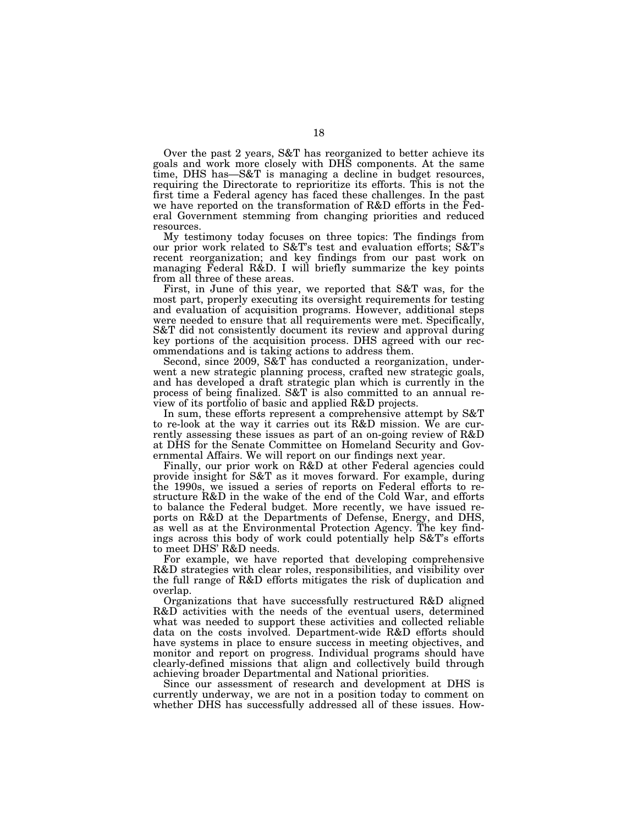Over the past 2 years, S&T has reorganized to better achieve its goals and work more closely with DHS components. At the same time, DHS has—S&T is managing a decline in budget resources, requiring the Directorate to reprioritize its efforts. This is not the first time a Federal agency has faced these challenges. In the past we have reported on the transformation of R&D efforts in the Federal Government stemming from changing priorities and reduced resources.

My testimony today focuses on three topics: The findings from our prior work related to S&T's test and evaluation efforts; S&T's recent reorganization; and key findings from our past work on managing Federal R&D. I will briefly summarize the key points from all three of these areas.

First, in June of this year, we reported that S&T was, for the most part, properly executing its oversight requirements for testing and evaluation of acquisition programs. However, additional steps were needed to ensure that all requirements were met. Specifically, S&T did not consistently document its review and approval during key portions of the acquisition process. DHS agreed with our recommendations and is taking actions to address them.

Second, since 2009, S&T has conducted a reorganization, underwent a new strategic planning process, crafted new strategic goals, and has developed a draft strategic plan which is currently in the process of being finalized. S&T is also committed to an annual review of its portfolio of basic and applied R&D projects.

In sum, these efforts represent a comprehensive attempt by S&T to re-look at the way it carries out its R&D mission. We are currently assessing these issues as part of an on-going review of R&D at DHS for the Senate Committee on Homeland Security and Governmental Affairs. We will report on our findings next year.

Finally, our prior work on R&D at other Federal agencies could provide insight for S&T as it moves forward. For example, during the 1990s, we issued a series of reports on Federal efforts to restructure R&D in the wake of the end of the Cold War, and efforts to balance the Federal budget. More recently, we have issued reports on R&D at the Departments of Defense, Energy, and DHS, as well as at the Environmental Protection Agency. The key findings across this body of work could potentially help S&T's efforts to meet DHS' R&D needs.

For example, we have reported that developing comprehensive R&D strategies with clear roles, responsibilities, and visibility over the full range of R&D efforts mitigates the risk of duplication and overlap.

Organizations that have successfully restructured R&D aligned R&D activities with the needs of the eventual users, determined what was needed to support these activities and collected reliable data on the costs involved. Department-wide R&D efforts should have systems in place to ensure success in meeting objectives, and monitor and report on progress. Individual programs should have clearly-defined missions that align and collectively build through achieving broader Departmental and National priorities.

Since our assessment of research and development at DHS is currently underway, we are not in a position today to comment on whether DHS has successfully addressed all of these issues. How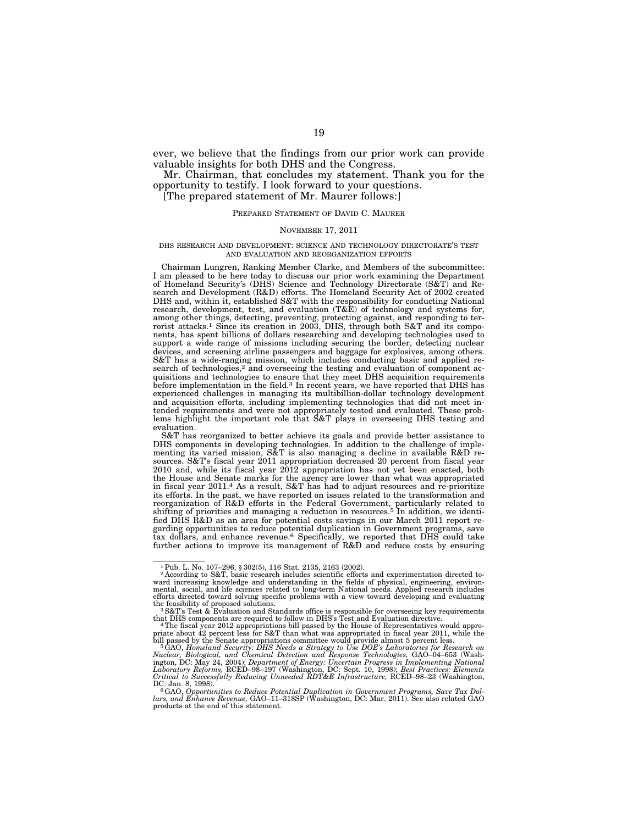ever, we believe that the findings from our prior work can provide valuable insights for both DHS and the Congress.

Mr. Chairman, that concludes my statement. Thank you for the opportunity to testify. I look forward to your questions.

[The prepared statement of Mr. Maurer follows:]

# PREPARED STATEMENT OF DAVID C. MAURER

# NOVEMBER 17, 2011

# DHS RESEARCH AND DEVELOPMENT: SCIENCE AND TECHNOLOGY DIRECTORATE'S TEST AND EVALUATION AND REORGANIZATION EFFORTS

Chairman Lungren, Ranking Member Clarke, and Members of the subcommittee: I am pleased to be here today to discuss our prior work examining the Department of Homeland Security's (DHS) Science and Technology Directorate (S&T) and Research and Development (R&D) efforts. The Homeland Security Act of 2002 created DHS and, within it, established S&T with the responsibility for conducting National research, development, test, and evaluation  $(T&\&E)$  of technology and systems for, among other things, detecting, preventing, protecting against, and responding to ter-<br>rorist attacks.<sup>1</sup> Since its creation in 2003, DHS, through both S&T and its components, has spent billions of dollars researching and developing technologies used to support a wide range of missions including securing the border, detecting nuclear devices, and screening airline passengers and baggage for explosives, among others. S&T has a wide-ranging mission, which includes conducting basic and applied research of technologies,<sup>2</sup> and overseeing the testing and evaluation of component acquisitions and technologies to ensure that they meet DHS acquisition requirements before implementation in the field.3 In recent years, we have reported that DHS has experienced challenges in managing its multibillion-dollar technology development and acquisition efforts, including implementing technologies that did not meet intended requirements and were not appropriately tested and evaluated. These problems highlight the important role that S&T plays in overseeing DHS testing and evaluation.

S&T has reorganized to better achieve its goals and provide better assistance to DHS components in developing technologies. In addition to the challenge of implementing its varied mission,  $S\&T$  is also managing a decline in available  $R\&D$  resources. S&T's fiscal year 2011 appropriation decreased 20 percent from fiscal year 2010 and, while its fiscal year 2012 appropriation has not yet been enacted, both the House and Senate marks for the agency are lower than what was appropriated in fiscal year 2011.4 As a result, S&T has had to adjust resources and re-prioritize its efforts. In the past, we have reported on issues related to the transformation and reorganization of R&D efforts in the Federal Government, particularly related to shifting of priorities and managing a reduction in resources.5 In addition, we identified DHS R&D as an area for potential costs savings in our March 2011 report regarding opportunities to reduce potential duplication in Government programs, save tax dollars, and enhance revenue.6 Specifically, we reported that DHS could take further actions to improve its management of R&D and reduce costs by ensuring

<sup>&</sup>lt;sup>1</sup>Pub. L. No. 107–296, § 302(5), 116 Stat. 2135, 2163 (2002).<br><sup>2</sup> According to S&T, basic research includes scientific efforts and experimentation directed toward increasing knowledge and understanding in the fields of p mental, social, and life sciences related to long-term National needs. Applied research includes efforts directed toward solving specific problems with a view toward developing and evaluating

the feasibility of proposed solutions.<br><sup>3</sup>S&T's Test & Evaluation and Standards office is responsible for overseeing key requirements<br>that DHS components are required to follow in DHS's Test and Evaluation directive.

<sup>&</sup>lt;sup>4</sup> The fiscal year 2012 appropriations bill passed by the House of Representatives would appropriate about 42 percent less for S&T than what was appropriated in fiscal year 2011, while the<br>bill passed by the Senate appropriations committee would provide almost 5 percent less.<br><sup>5</sup>GAO, *Homeland Security: DHS Needs a* 

Nuclear, Biological, and Chemical Detection and Response Technologies, GAO–04–653 (Wash-<br>ington, DC: May 24, 2004); Department of Energy: Uncertain Progress in Implementing National<br>Laboratory Reforms, RCED–98–197 (Washing *Critical to Successfully Reducing Unneeded RDT&E Infrastructure,* RCED–98–23 (Washington, DC: Jan. 8, 1998).<br>DC: Jan. 8, 1998).<br><sup>6</sup>GAO, *Opportunities to Reduce Potential Duplication in Government Programs, Save Tax Dol-*

*lars, and Enhance Revenue,* GAO–11–318SP (Washington, DC: Mar. 2011). See also related GAO products at the end of this statement.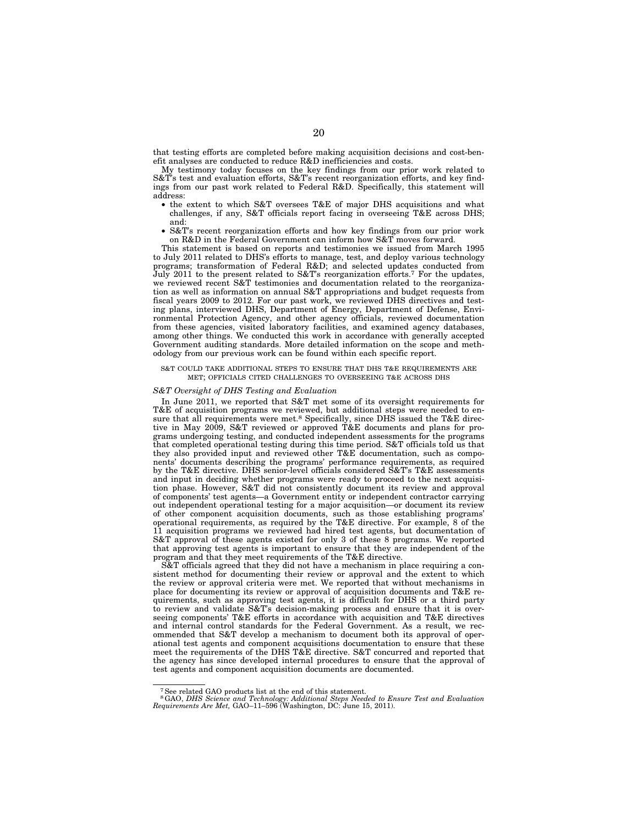that testing efforts are completed before making acquisition decisions and cost-benefit analyses are conducted to reduce R&D inefficiencies and costs.

My testimony today focuses on the key findings from our prior work related to S&T's test and evaluation efforts, S&T's recent reorganization efforts, and key findings from our past work related to Federal R&D. Specifically, this statement will address:

- the extent to which S&T oversees T&E of major DHS acquisitions and what challenges, if any, S&T officials report facing in overseeing T&E across DHS; and:
- S&T's recent reorganization efforts and how key findings from our prior work on R&D in the Federal Government can inform how S&T moves forward.

This statement is based on reports and testimonies we issued from March 1995 to July 2011 related to DHS's efforts to manage, test, and deploy various technology programs; transformation of Federal R&D; and selected updates conducted from July 2011 to the present related to S&T's reorganization efforts.<sup>7</sup> For the updates, we reviewed recent S&T testimonies and documentation related to the reorganization as well as information on annual S&T appropriations and budget requests from fiscal years 2009 to 2012. For our past work, we reviewed DHS directives and testing plans, interviewed DHS, Department of Energy, Department of Defense, Environmental Protection Agency, and other agency officials, reviewed documentation from these agencies, visited laboratory facilities, and examined agency databases, among other things. We conducted this work in accordance with generally accepted Government auditing standards. More detailed information on the scope and methodology from our previous work can be found within each specific report.

#### S&T COULD TAKE ADDITIONAL STEPS TO ENSURE THAT DHS T&E REQUIREMENTS ARE MET; OFFICIALS CITED CHALLENGES TO OVERSEEING T&E ACROSS DHS

#### *S&T Oversight of DHS Testing and Evaluation*

In June 2011, we reported that S&T met some of its oversight requirements for T&E of acquisition programs we reviewed, but additional steps were needed to ensure that all requirements were met.8 Specifically, since DHS issued the T&E directive in May 2009, S&T reviewed or approved T&E documents and plans for programs undergoing testing, and conducted independent assessments for the programs that completed operational testing during this time period. S&T officials told us that they also provided input and reviewed other T&E documentation, such as components' documents describing the programs' performance requirements, as required by the T&E directive. DHS senior-level officials considered S&T's T&E assessments and input in deciding whether programs were ready to proceed to the next acquisition phase. However, S&T did not consistently document its review and approval of components' test agents—a Government entity or independent contractor carrying out independent operational testing for a major acquisition—or document its review of other component acquisition documents, such as those establishing programs' operational requirements, as required by the T&E directive. For example, 8 of the 11 acquisition programs we reviewed had hired test agents, but documentation of S&T approval of these agents existed for only 3 of these 8 programs. We reported that approving test agents is important to ensure that they are independent of the program and that they meet requirements of the T&E directive.

S&T officials agreed that they did not have a mechanism in place requiring a consistent method for documenting their review or approval and the extent to which the review or approval criteria were met. We reported that without mechanisms in place for documenting its review or approval of acquisition documents and T&E requirements, such as approving test agents, it is difficult for DHS or a third party to review and validate S&T's decision-making process and ensure that it is overseeing components' T&E efforts in accordance with acquisition and T&E directives and internal control standards for the Federal Government. As a result, we recommended that S&T develop a mechanism to document both its approval of operational test agents and component acquisitions documentation to ensure that these meet the requirements of the DHS T&E directive. S&T concurred and reported that the agency has since developed internal procedures to ensure that the approval of test agents and component acquisition documents are documented.

<sup>7</sup>See related GAO products list at the end of this statement.

<sup>8</sup>GAO, *DHS Science and Technology: Additional Steps Needed to Ensure Test and Evaluation Requirements Are Met,* GAO–11–596 (Washington, DC: June 15, 2011).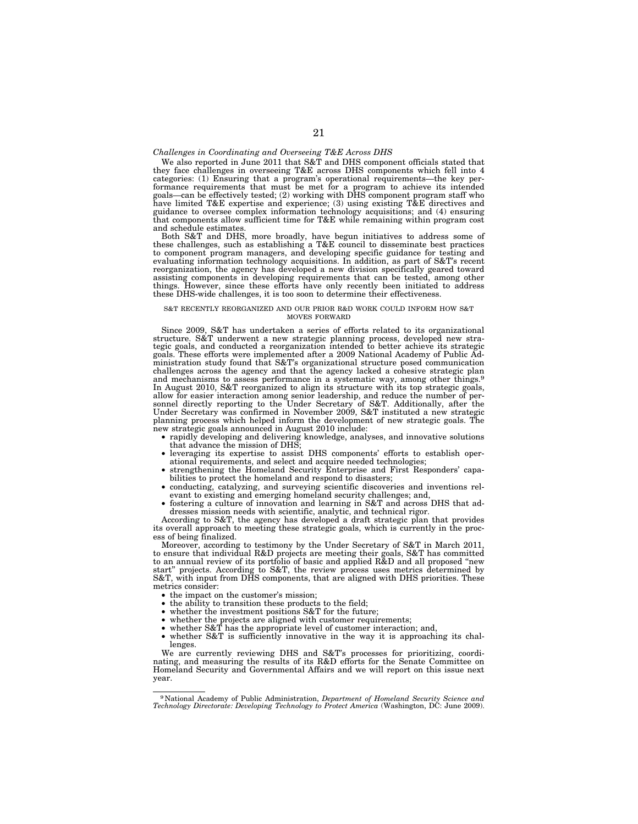# *Challenges in Coordinating and Overseeing T&E Across DHS*

We also reported in June 2011 that S&T and DHS component officials stated that they face challenges in overseeing T&E across DHS components which fell into 4 categories: (1) Ensuring that a program's operational requirements—the key per-<br>formance requirements that must be met for a program to achieve its intended<br>goals—can be effectively tested; (2) working with DHS component p have limited T&E expertise and experience; (3) using existing T&E directives and guidance to oversee complex information technology acquisitions; and (4) ensuring that components allow sufficient time for T&E while remaining within program cost and schedule estimates.

Both S&T and DHS, more broadly, have begun initiatives to address some of these challenges, such as establishing a T&E council to disseminate best practices to component program managers, and developing specific guidance for testing and evaluating information technology acquisitions. In addition, as part of S&T's recent reorganization, the agency has developed a new division specifically geared toward assisting components in developing requirements that can be tested, among other things. However, since these efforts have only recently been initiated to address these DHS-wide challenges, it is too soon to determine their effectiveness.

#### S&T RECENTLY REORGANIZED AND OUR PRIOR R&D WORK COULD INFORM HOW S&T MOVES FORWARD

Since 2009, S&T has undertaken a series of efforts related to its organizational structure. S&T underwent a new strategic planning process, developed new strategic goals, and conducted a reorganization intended to better a goals. These efforts were implemented after a 2009 National Academy of Public Administration study found that S&T's organizational structure posed communication challenges across the agency and that the agency lacked a cohesive strategic plan and mechanisms to assess performance in a systematic way, among other things.9 In August 2010, S&T reorganized to align its structure with its top strategic goals, allow for easier interaction among senior leadership, and reduce the number of per-sonnel directly reporting to the Under Secretary of S&T. Additionally, after the Under Secretary was confirmed in November 2009, S&T instituted a new strategic planning process which helped inform the development of new strategic goals. The

- rapidly developing and delivering knowledge, analyses, and innovative solutions that advance the mission of DHS;
- leveraging its expertise to assist DHS components' efforts to establish operational requirements, and select and acquire needed technologies;
- strengthening the Homeland Security Enterprise and First Responders' capabilities to protect the homeland and respond to disasters;
- conducting, catalyzing, and surveying scientific discoveries and inventions relevant to existing and emerging homeland security challenges; and,
- fostering a culture of innovation and learning in S&T and across DHS that addresses mission needs with scientific, analytic, and technical rigor.

According to S&T, the agency has developed a draft strategic plan that provides its overall approach to meeting these strategic goals, which is currently in the process of being finalized.

Moreover, according to testimony by the Under Secretary of S&T in March 2011, to ensure that individual R&D projects are meeting their goals, S&T has committed to an annual review of its portfolio of basic and applied R&D and all proposed ''new start'' projects. According to S&T, the review process uses metrics determined by S&T, with input from DHS components, that are aligned with DHS priorities. These metrics consider:

- the impact on the customer's mission;
- the ability to transition these products to the field;
- whether the investment positions S&T for the future;
- whether the projects are aligned with customer requirements;
	- whether S&T has the appropriate level of customer interaction; and,
- whether S&T is sufficiently innovative in the way it is approaching its challenges.

We are currently reviewing DHS and S&T's processes for prioritizing, coordinating, and measuring the results of its R&D efforts for the Senate Committee on Homeland Security and Governmental Affairs and we will report on this issue next year.

<sup>9</sup> National Academy of Public Administration, *Department of Homeland Security Science and Technology Directorate: Developing Technology to Protect America* (Washington, DC: June 2009).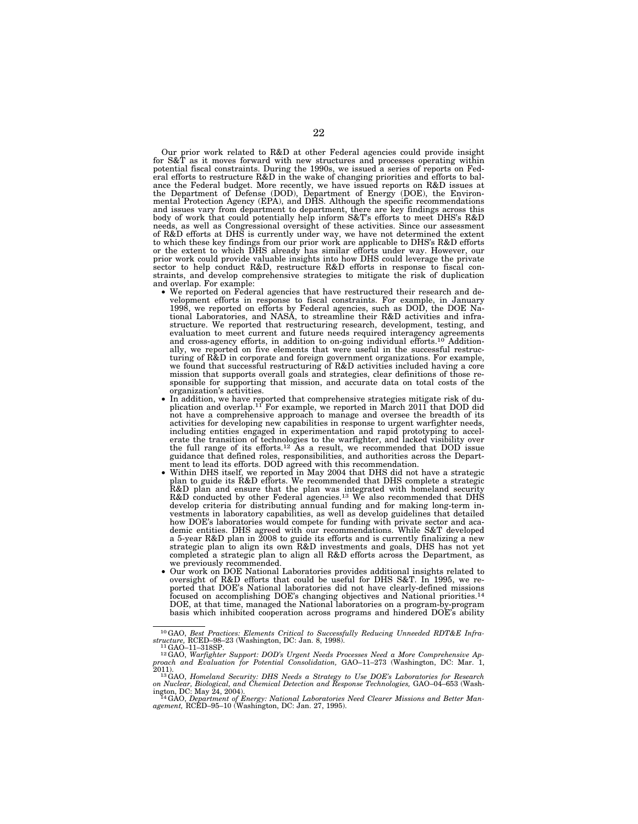Our prior work related to R&D at other Federal agencies could provide insight for S&T as it moves forward with new structures and processes operating within<br>potential fiscal constraints. During the 1990s, we issued a series of reports on Fed-<br>eral efforts to restructure R&D in the wake of changing p ance the Federal budget. More recently, we have issued reports on R&D issues at<br>the Department of Defense (DOD), Department of Energy (DOE), the Environ-<br>mental Protection Agency (EPA), and DHS. Although the specific recom and issues vary from department to department, there are key findings across this body of work that could potentially help inform S&T's efforts to meet DHS's R&D needs, as well as Congressional oversight of these activities. Since our assessment of R&D efforts at DHS is currently under way, we have not determined the extent to which these key findings from our prior work are applicable to DHS's R&D efforts or the extent to which DHS already has similar efforts under way. However, our prior work could provide valuable insights into how DHS could leverage the private sector to help conduct R&D, restructure R&D efforts in response to fiscal constraints, and develop comprehensive strategies to mitigate the risk of duplication

- and overlap. For example: We reported on Federal agencies that have restructured their research and de-velopment efforts in response to fiscal constraints. For example, in January 1998, we reported on efforts by Federal agencies, such as DOD, the DOE Na-tional Laboratories, and NASA, to streamline their R&D activities and infrastructure. We reported that restructuring research, development, testing, and evaluation to meet current and future needs required interagency agreements and cross-agency efforts, in addition to on-going individual efforts.<sup>10</sup> Addition-<br>ally, we reported on five elements that were useful in the successful restructuring of R&D in corporate and foreign government organizations. For example, we found that successful restructuring of R&D activities included having a core mission that supports overall goals and strategies, clear definitions of those responsible for supporting that mission, and accurate data on total costs of the
	- organization's activities.<br>• In addition, we have reported that comprehensive strategies mitigate risk of du-<br>plication and overlap.<sup>11</sup> For example, we reported in March 2011 that DOD did<br>not have a comprehensive approac activities for developing new capabilities in response to urgent warfighter needs, including entities engaged in experimentation and rapid prototyping to accelerate the transition of technologies to the warfighter, and lacked visibility over the full range of its efforts.<sup>12</sup> As a result, we recommended ment to lead its efforts. DOD agreed with this recommendation.<br>Within DHS itself, we reported in May 2004 that DHS did not have a strategic
	- plan to guide its R&D efforts. We recommended that DHS complete a strategic R&D plan and ensure that the plan was integrated with homeland security R&D conducted by other Federal agencies.13 We also recommended that DHS develop criteria for distributing annual funding and for making long-term in-vestments in laboratory capabilities, as well as develop guidelines that detailed how DOE's laboratories would compete for funding with private sector and aca-demic entities. DHS agreed with our recommendations. While S&T developed a 5-year R&D plan in 2008 to guide its efforts and is currently finalizing a new strategic plan to align its own R&D investments and goals, DHS has not yet completed a strategic plan to align all R&D efforts across the Department, as
	- Our work on DOE National Laboratories provides additional insights related to oversight of R&D efforts that could be useful for DHS S&T. In 1995, we reported that DOE's National laboratories did not have clearly-defined missions focused on accomplishing DOE's changing objectives and National priorities.14 DOE, at that time, managed the National laboratories on a program-by-program basis which inhibited cooperation across programs and hindered DOE's ability

<sup>10</sup>GAO, *Best Practices: Elements Critical to Successfully Reducing Unneeded RDT&E Infra-*

structure, RCED–98–23 (Washington, DC: Jan. 8, 1998).<br><sup>11</sup>GAO–11–318SP.<br><sup>12</sup>GAO, Warfighter Support: DOD's Urgent Needs Processes Need a More Comprehensive Ap-<br>proach and Evaluation for Potential Consolidation, GAO–11–273

<sup>2011).&</sup>lt;br><sup>13</sup>GAO, *Homeland Security: DHS Needs a Strategy to Use DOE's Laboratories for Research*<br><sup>14</sup>GAO, *Department of Energy: National Detection and Response Technologies, GAO–04–653 (Wash-<br><sup>14</sup>GAO, <i>Department of Energ*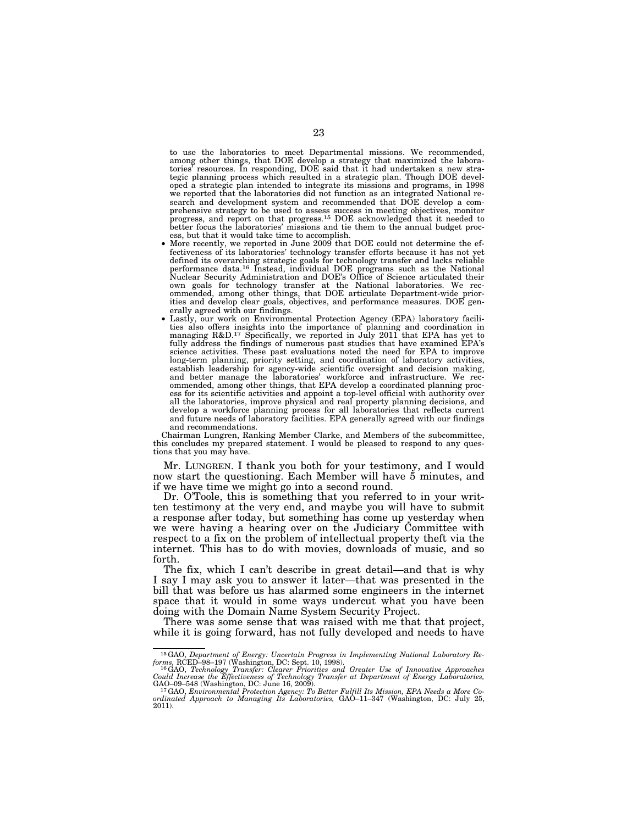to use the laboratories to meet Departmental missions. We recommended, among other things, that DOE develop a strategy that maximized the laboratories' resources. In responding, DOE said that it had undertaken a new strategic planning process which resulted in a strategic plan. Though DOE developed a strategic plan intended to integrate its missions and programs, in 1998 we reported that the laboratories did not function as an integrated National research and development system and recommended that DOE develop a comprehensive strategy to be used to assess success in meeting objectives, monitor progress, and report on that progress.15 DOE acknowledged that it needed to better focus the laboratories' missions and tie them to the annual budget process, but that it would take time to accomplish.

- More recently, we reported in June 2009 that DOE could not determine the effectiveness of its laboratories' technology transfer efforts because it has not yet defined its overarching strategic goals for technology transfer and lacks reliable performance data.16 Instead, individual DOE programs such as the National Nuclear Security Administration and DOE's Office of Science articulated their own goals for technology transfer at the National laboratories. We recommended, among other things, that DOE articulate Department-wide priorities and develop clear goals, objectives, and performance measures. DOE generally agreed with our findings.
- Lastly, our work on Environmental Protection Agency (EPA) laboratory facilities also offers insights into the importance of planning and coordination in managing R&D.17 Specifically, we reported in July 2011 that EPA has yet to fully address the findings of numerous past studies that have examined EPA's science activities. These past evaluations noted the need for EPA to improve long-term planning, priority setting, and coordination of laboratory activities, establish leadership for agency-wide scientific oversight and decision making, and better manage the laboratories' workforce and infrastructure. We recommended, among other things, that EPA develop a coordinated planning process for its scientific activities and appoint a top-level official with authority over all the laboratories, improve physical and real property planning decisions, and develop a workforce planning process for all laboratories that reflects current and future needs of laboratory facilities. EPA generally agreed with our findings and recommendations.

Chairman Lungren, Ranking Member Clarke, and Members of the subcommittee, this concludes my prepared statement. I would be pleased to respond to any questions that you may have.

Mr. LUNGREN. I thank you both for your testimony, and I would now start the questioning. Each Member will have 5 minutes, and if we have time we might go into a second round.

Dr. O'Toole, this is something that you referred to in your written testimony at the very end, and maybe you will have to submit a response after today, but something has come up yesterday when we were having a hearing over on the Judiciary Committee with respect to a fix on the problem of intellectual property theft via the internet. This has to do with movies, downloads of music, and so forth.

The fix, which I can't describe in great detail—and that is why I say I may ask you to answer it later—that was presented in the bill that was before us has alarmed some engineers in the internet space that it would in some ways undercut what you have been doing with the Domain Name System Security Project.

There was some sense that was raised with me that that project, while it is going forward, has not fully developed and needs to have

<sup>&</sup>lt;sup>15</sup>GAO, Department of Energy: Uncertain Progress in Implementing National Laboratory Reforms, RCED–98–197 (Washington, DC: Sept. 10, 1998).<br><sup>16</sup>GAO, Technology Transfer: Clearer Priorities and Greater Use of Innovative A

*Could Increase the Effectiveness of Technology Transfer at Department of Energy Laboratories,* 

<sup>&</sup>lt;sup>17</sup> GAO, *Environmental Protection Agency: To Better Fulfill Its Mission, EPA Needs a More Coordinated Approach to Managing Its Laboratories,* GAO–11–347 (Washington, DC: July 25, 2011).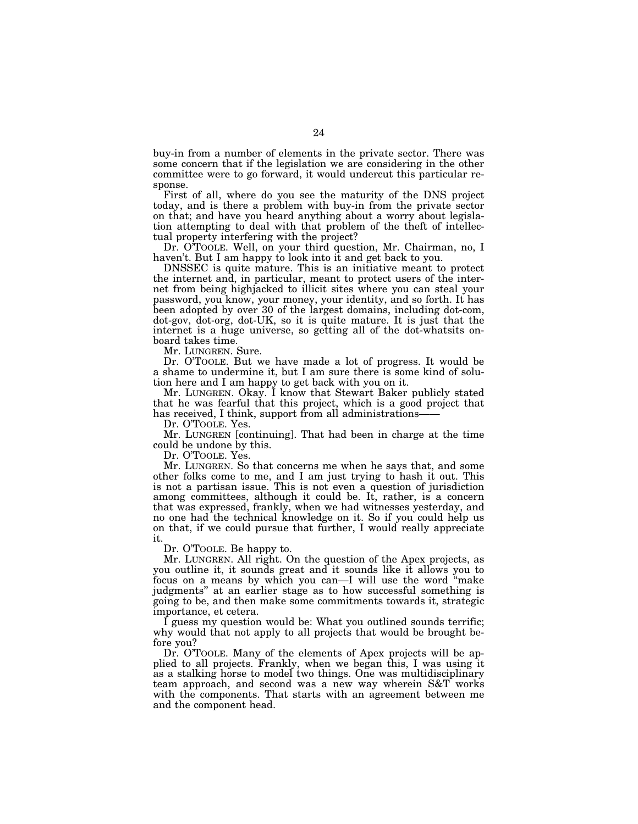buy-in from a number of elements in the private sector. There was some concern that if the legislation we are considering in the other committee were to go forward, it would undercut this particular response.

First of all, where do you see the maturity of the DNS project today, and is there a problem with buy-in from the private sector on that; and have you heard anything about a worry about legislation attempting to deal with that problem of the theft of intellectual property interfering with the project?

Dr. O'TOOLE. Well, on your third question, Mr. Chairman, no, I haven't. But I am happy to look into it and get back to you.

DNSSEC is quite mature. This is an initiative meant to protect the internet and, in particular, meant to protect users of the internet from being highjacked to illicit sites where you can steal your password, you know, your money, your identity, and so forth. It has been adopted by over 30 of the largest domains, including dot-com, dot-gov, dot-org, dot-UK, so it is quite mature. It is just that the internet is a huge universe, so getting all of the dot-whatsits onboard takes time.

Mr. LUNGREN. Sure.

Dr. O'TOOLE. But we have made a lot of progress. It would be a shame to undermine it, but I am sure there is some kind of solution here and I am happy to get back with you on it.

Mr. LUNGREN. Okay. I know that Stewart Baker publicly stated that he was fearful that this project, which is a good project that has received, I think, support from all administrations-

Dr. O'TOOLE. Yes.

Mr. LUNGREN [continuing]. That had been in charge at the time could be undone by this.

Dr. O'TOOLE. Yes.

Mr. LUNGREN. So that concerns me when he says that, and some other folks come to me, and I am just trying to hash it out. This is not a partisan issue. This is not even a question of jurisdiction among committees, although it could be. It, rather, is a concern that was expressed, frankly, when we had witnesses yesterday, and no one had the technical knowledge on it. So if you could help us on that, if we could pursue that further, I would really appreciate it.

Dr. O'TOOLE. Be happy to.

Mr. LUNGREN. All right. On the question of the Apex projects, as you outline it, it sounds great and it sounds like it allows you to focus on a means by which you can—I will use the word "make judgments'' at an earlier stage as to how successful something is going to be, and then make some commitments towards it, strategic importance, et cetera.

I guess my question would be: What you outlined sounds terrific; why would that not apply to all projects that would be brought before you?

Dr. O'TOOLE. Many of the elements of Apex projects will be applied to all projects. Frankly, when we began this, I was using it as a stalking horse to model two things. One was multidisciplinary team approach, and second was a new way wherein S&T works with the components. That starts with an agreement between me and the component head.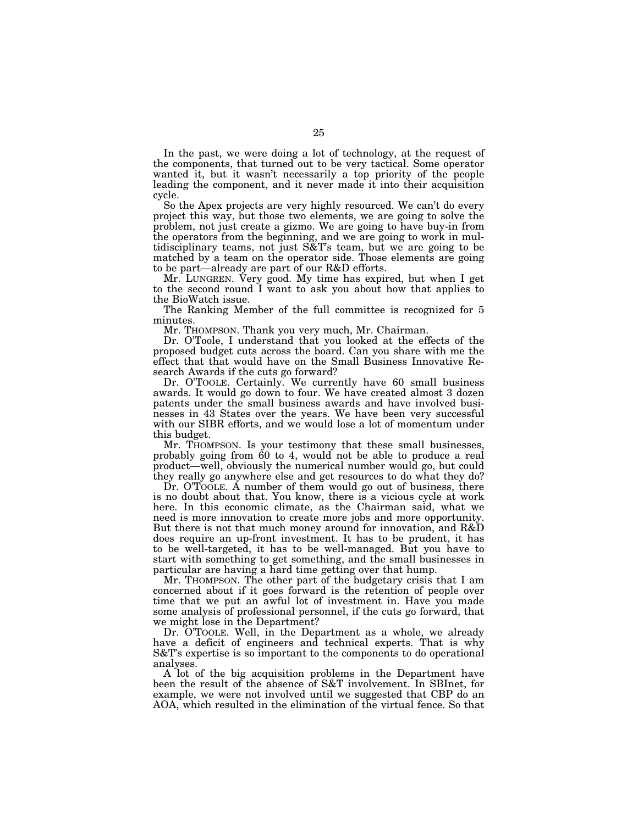In the past, we were doing a lot of technology, at the request of the components, that turned out to be very tactical. Some operator wanted it, but it wasn't necessarily a top priority of the people leading the component, and it never made it into their acquisition cycle.

So the Apex projects are very highly resourced. We can't do every project this way, but those two elements, we are going to solve the problem, not just create a gizmo. We are going to have buy-in from the operators from the beginning, and we are going to work in multidisciplinary teams, not just S&T's team, but we are going to be matched by a team on the operator side. Those elements are going to be part—already are part of our R&D efforts.

Mr. LUNGREN. Very good. My time has expired, but when I get to the second round I want to ask you about how that applies to the BioWatch issue.

The Ranking Member of the full committee is recognized for 5 minutes.

Mr. THOMPSON. Thank you very much, Mr. Chairman.

Dr. O'Toole, I understand that you looked at the effects of the proposed budget cuts across the board. Can you share with me the effect that that would have on the Small Business Innovative Research Awards if the cuts go forward?

Dr. O'TOOLE. Certainly. We currently have 60 small business awards. It would go down to four. We have created almost 3 dozen patents under the small business awards and have involved businesses in 43 States over the years. We have been very successful with our SIBR efforts, and we would lose a lot of momentum under this budget.

Mr. THOMPSON. Is your testimony that these small businesses, probably going from 60 to 4, would not be able to produce a real product—well, obviously the numerical number would go, but could they really go anywhere else and get resources to do what they do?

Dr. O'TOOLE. A number of them would go out of business, there is no doubt about that. You know, there is a vicious cycle at work here. In this economic climate, as the Chairman said, what we need is more innovation to create more jobs and more opportunity. But there is not that much money around for innovation, and R&D does require an up-front investment. It has to be prudent, it has to be well-targeted, it has to be well-managed. But you have to start with something to get something, and the small businesses in particular are having a hard time getting over that hump.

Mr. THOMPSON. The other part of the budgetary crisis that I am concerned about if it goes forward is the retention of people over time that we put an awful lot of investment in. Have you made some analysis of professional personnel, if the cuts go forward, that we might lose in the Department?

Dr. O'TOOLE. Well, in the Department as a whole, we already have a deficit of engineers and technical experts. That is why S&T's expertise is so important to the components to do operational analyses.

A lot of the big acquisition problems in the Department have been the result of the absence of S&T involvement. In SBInet, for example, we were not involved until we suggested that CBP do an AOA, which resulted in the elimination of the virtual fence. So that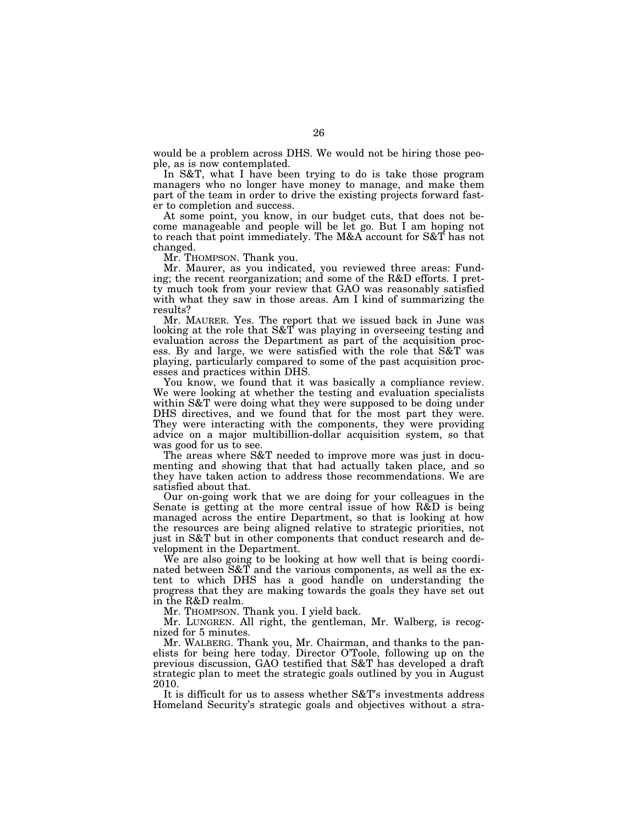would be a problem across DHS. We would not be hiring those people, as is now contemplated.

In S&T, what I have been trying to do is take those program managers who no longer have money to manage, and make them part of the team in order to drive the existing projects forward faster to completion and success.

At some point, you know, in our budget cuts, that does not become manageable and people will be let go. But I am hoping not to reach that point immediately. The M&A account for S&T has not changed.

Mr. THOMPSON. Thank you.

Mr. Maurer, as you indicated, you reviewed three areas: Funding; the recent reorganization; and some of the R&D efforts. I pretty much took from your review that GAO was reasonably satisfied with what they saw in those areas. Am I kind of summarizing the results?

Mr. MAURER. Yes. The report that we issued back in June was looking at the role that S&T was playing in overseeing testing and evaluation across the Department as part of the acquisition process. By and large, we were satisfied with the role that S&T was playing, particularly compared to some of the past acquisition processes and practices within DHS.

You know, we found that it was basically a compliance review. We were looking at whether the testing and evaluation specialists within S&T were doing what they were supposed to be doing under DHS directives, and we found that for the most part they were. They were interacting with the components, they were providing advice on a major multibillion-dollar acquisition system, so that was good for us to see.

The areas where S&T needed to improve more was just in documenting and showing that that had actually taken place, and so they have taken action to address those recommendations. We are satisfied about that.

Our on-going work that we are doing for your colleagues in the Senate is getting at the more central issue of how R&D is being managed across the entire Department, so that is looking at how the resources are being aligned relative to strategic priorities, not just in S&T but in other components that conduct research and development in the Department.

We are also going to be looking at how well that is being coordinated between S&T and the various components, as well as the extent to which DHS has a good handle on understanding the progress that they are making towards the goals they have set out in the R&D realm.

Mr. THOMPSON. Thank you. I yield back.

Mr. LUNGREN. All right, the gentleman, Mr. Walberg, is recognized for 5 minutes.

Mr. WALBERG. Thank you, Mr. Chairman, and thanks to the panelists for being here today. Director O'Toole, following up on the previous discussion, GAO testified that S&T has developed a draft strategic plan to meet the strategic goals outlined by you in August 2010.

It is difficult for us to assess whether S&T's investments address Homeland Security's strategic goals and objectives without a stra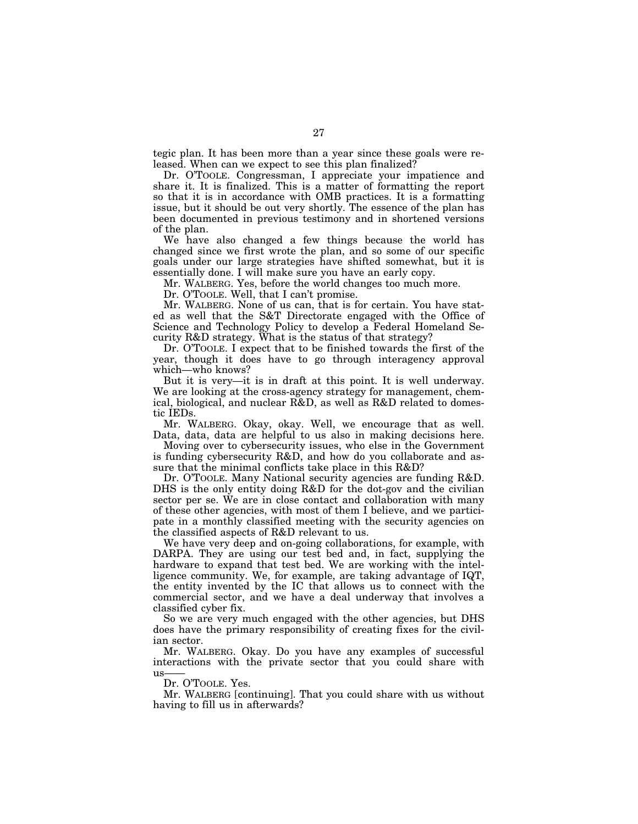tegic plan. It has been more than a year since these goals were released. When can we expect to see this plan finalized?

Dr. O'TOOLE. Congressman, I appreciate your impatience and share it. It is finalized. This is a matter of formatting the report so that it is in accordance with OMB practices. It is a formatting issue, but it should be out very shortly. The essence of the plan has been documented in previous testimony and in shortened versions of the plan.

We have also changed a few things because the world has changed since we first wrote the plan, and so some of our specific goals under our large strategies have shifted somewhat, but it is essentially done. I will make sure you have an early copy.

Mr. WALBERG. Yes, before the world changes too much more.

Dr. O'TOOLE. Well, that I can't promise.

Mr. WALBERG. None of us can, that is for certain. You have stated as well that the S&T Directorate engaged with the Office of Science and Technology Policy to develop a Federal Homeland Security R&D strategy. What is the status of that strategy?

Dr. O'TOOLE. I expect that to be finished towards the first of the year, though it does have to go through interagency approval which—who knows?

But it is very—it is in draft at this point. It is well underway. We are looking at the cross-agency strategy for management, chemical, biological, and nuclear R&D, as well as R&D related to domestic IEDs.

Mr. WALBERG. Okay, okay. Well, we encourage that as well. Data, data, data are helpful to us also in making decisions here.

Moving over to cybersecurity issues, who else in the Government is funding cybersecurity R&D, and how do you collaborate and assure that the minimal conflicts take place in this R&D?

Dr. O'TOOLE. Many National security agencies are funding R&D. DHS is the only entity doing R&D for the dot-gov and the civilian sector per se. We are in close contact and collaboration with many of these other agencies, with most of them I believe, and we participate in a monthly classified meeting with the security agencies on the classified aspects of R&D relevant to us.

We have very deep and on-going collaborations, for example, with DARPA. They are using our test bed and, in fact, supplying the hardware to expand that test bed. We are working with the intelligence community. We, for example, are taking advantage of IQT, the entity invented by the IC that allows us to connect with the commercial sector, and we have a deal underway that involves a classified cyber fix.

So we are very much engaged with the other agencies, but DHS does have the primary responsibility of creating fixes for the civilian sector.

Mr. WALBERG. Okay. Do you have any examples of successful interactions with the private sector that you could share with  $11S$ 

Dr. O'TOOLE. Yes.

Mr. WALBERG [continuing]. That you could share with us without having to fill us in afterwards?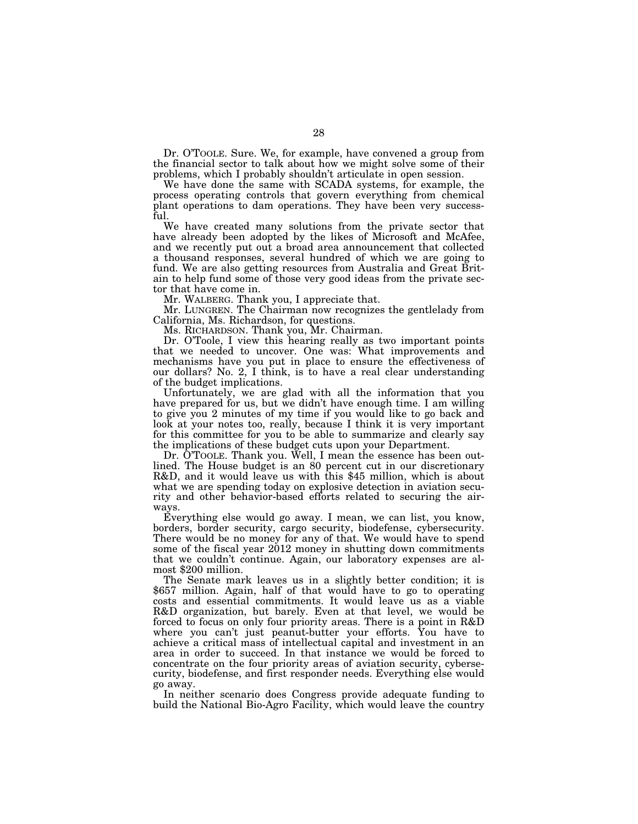Dr. O'TOOLE. Sure. We, for example, have convened a group from the financial sector to talk about how we might solve some of their problems, which I probably shouldn't articulate in open session.

We have done the same with SCADA systems, for example, the process operating controls that govern everything from chemical plant operations to dam operations. They have been very successful.

We have created many solutions from the private sector that have already been adopted by the likes of Microsoft and McAfee, and we recently put out a broad area announcement that collected a thousand responses, several hundred of which we are going to fund. We are also getting resources from Australia and Great Britain to help fund some of those very good ideas from the private sector that have come in.

Mr. WALBERG. Thank you, I appreciate that.

Mr. LUNGREN. The Chairman now recognizes the gentlelady from California, Ms. Richardson, for questions.

Ms. RICHARDSON. Thank you, Mr. Chairman.

Dr. O'Toole, I view this hearing really as two important points that we needed to uncover. One was: What improvements and mechanisms have you put in place to ensure the effectiveness of our dollars? No. 2, I think, is to have a real clear understanding of the budget implications.

Unfortunately, we are glad with all the information that you have prepared for us, but we didn't have enough time. I am willing to give you 2 minutes of my time if you would like to go back and look at your notes too, really, because I think it is very important for this committee for you to be able to summarize and clearly say the implications of these budget cuts upon your Department.

Dr. O'TOOLE. Thank you. Well, I mean the essence has been outlined. The House budget is an 80 percent cut in our discretionary R&D, and it would leave us with this \$45 million, which is about what we are spending today on explosive detection in aviation security and other behavior-based efforts related to securing the airways.

Everything else would go away. I mean, we can list, you know, borders, border security, cargo security, biodefense, cybersecurity. There would be no money for any of that. We would have to spend some of the fiscal year 2012 money in shutting down commitments that we couldn't continue. Again, our laboratory expenses are almost \$200 million.

The Senate mark leaves us in a slightly better condition; it is \$657 million. Again, half of that would have to go to operating costs and essential commitments. It would leave us as a viable R&D organization, but barely. Even at that level, we would be forced to focus on only four priority areas. There is a point in R&D where you can't just peanut-butter your efforts. You have to achieve a critical mass of intellectual capital and investment in an area in order to succeed. In that instance we would be forced to concentrate on the four priority areas of aviation security, cybersecurity, biodefense, and first responder needs. Everything else would go away.

In neither scenario does Congress provide adequate funding to build the National Bio-Agro Facility, which would leave the country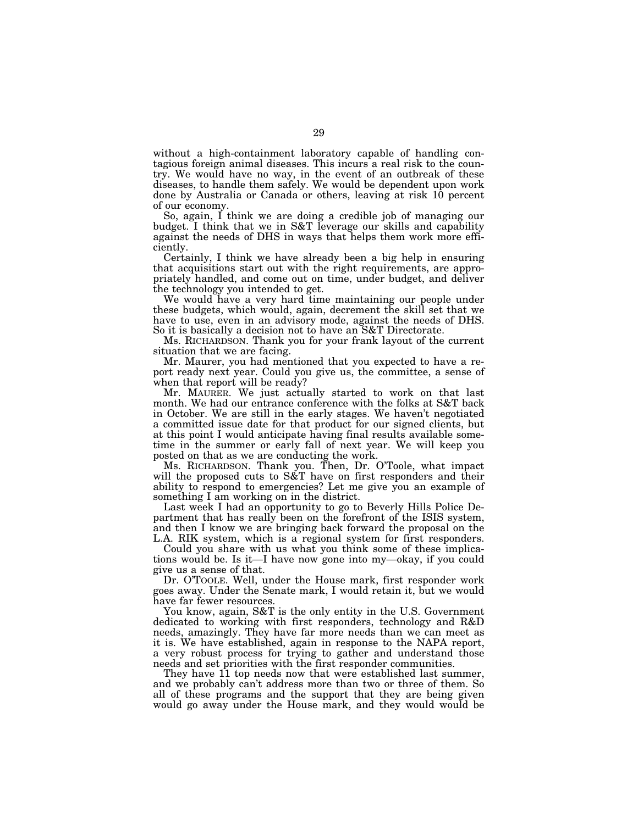without a high-containment laboratory capable of handling contagious foreign animal diseases. This incurs a real risk to the country. We would have no way, in the event of an outbreak of these diseases, to handle them safely. We would be dependent upon work done by Australia or Canada or others, leaving at risk 10 percent of our economy.

So, again, I think we are doing a credible job of managing our budget. I think that we in S&T leverage our skills and capability against the needs of DHS in ways that helps them work more efficiently.

Certainly, I think we have already been a big help in ensuring that acquisitions start out with the right requirements, are appropriately handled, and come out on time, under budget, and deliver the technology you intended to get.

We would have a very hard time maintaining our people under these budgets, which would, again, decrement the skill set that we have to use, even in an advisory mode, against the needs of DHS. So it is basically a decision not to have an S&T Directorate.

Ms. RICHARDSON. Thank you for your frank layout of the current situation that we are facing.

Mr. Maurer, you had mentioned that you expected to have a report ready next year. Could you give us, the committee, a sense of when that report will be ready?

Mr. MAURER. We just actually started to work on that last month. We had our entrance conference with the folks at S&T back in October. We are still in the early stages. We haven't negotiated a committed issue date for that product for our signed clients, but at this point I would anticipate having final results available sometime in the summer or early fall of next year. We will keep you posted on that as we are conducting the work.

Ms. RICHARDSON. Thank you. Then, Dr. O'Toole, what impact will the proposed cuts to S&T have on first responders and their ability to respond to emergencies? Let me give you an example of something I am working on in the district.

Last week I had an opportunity to go to Beverly Hills Police Department that has really been on the forefront of the ISIS system, and then I know we are bringing back forward the proposal on the L.A. RIK system, which is a regional system for first responders.

Could you share with us what you think some of these implications would be. Is it—I have now gone into my—okay, if you could give us a sense of that.

Dr. O'TOOLE. Well, under the House mark, first responder work goes away. Under the Senate mark, I would retain it, but we would have far fewer resources.

You know, again, S&T is the only entity in the U.S. Government dedicated to working with first responders, technology and R&D needs, amazingly. They have far more needs than we can meet as it is. We have established, again in response to the NAPA report, a very robust process for trying to gather and understand those needs and set priorities with the first responder communities.

They have 11 top needs now that were established last summer, and we probably can't address more than two or three of them. So all of these programs and the support that they are being given would go away under the House mark, and they would would be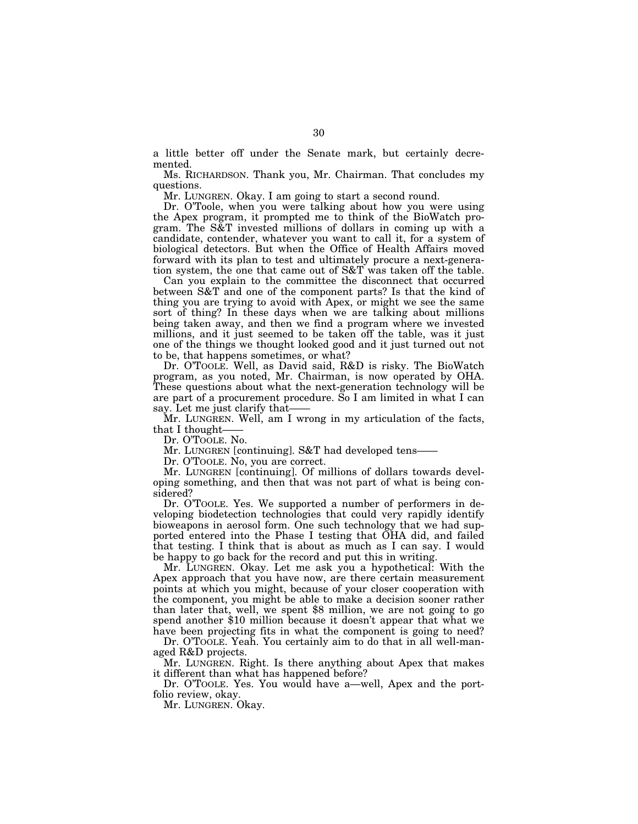a little better off under the Senate mark, but certainly decremented.

Ms. RICHARDSON. Thank you, Mr. Chairman. That concludes my questions.

Mr. LUNGREN. Okay. I am going to start a second round.

Dr. O'Toole, when you were talking about how you were using the Apex program, it prompted me to think of the BioWatch program. The S&T invested millions of dollars in coming up with a candidate, contender, whatever you want to call it, for a system of biological detectors. But when the Office of Health Affairs moved forward with its plan to test and ultimately procure a next-generation system, the one that came out of S&T was taken off the table.

Can you explain to the committee the disconnect that occurred between S&T and one of the component parts? Is that the kind of thing you are trying to avoid with Apex, or might we see the same sort of thing? In these days when we are talking about millions being taken away, and then we find a program where we invested millions, and it just seemed to be taken off the table, was it just one of the things we thought looked good and it just turned out not to be, that happens sometimes, or what?

Dr. O'TOOLE. Well, as David said, R&D is risky. The BioWatch program, as you noted, Mr. Chairman, is now operated by OHA. These questions about what the next-generation technology will be are part of a procurement procedure. So I am limited in what I can say. Let me just clarify that-

Mr. LUNGREN. Well, am I wrong in my articulation of the facts, that I thought-

Dr. O'TOOLE. No.

Mr. LUNGREN [continuing]. S&T had developed tens-

Dr. O'TOOLE. No, you are correct.

Mr. LUNGREN [continuing]. Of millions of dollars towards developing something, and then that was not part of what is being considered?

Dr. O'TOOLE. Yes. We supported a number of performers in developing biodetection technologies that could very rapidly identify bioweapons in aerosol form. One such technology that we had supported entered into the Phase I testing that OHA did, and failed that testing. I think that is about as much as I can say. I would be happy to go back for the record and put this in writing.

Mr. LUNGREN. Okay. Let me ask you a hypothetical: With the Apex approach that you have now, are there certain measurement points at which you might, because of your closer cooperation with the component, you might be able to make a decision sooner rather than later that, well, we spent \$8 million, we are not going to go spend another \$10 million because it doesn't appear that what we have been projecting fits in what the component is going to need?

Dr. O'TOOLE. Yeah. You certainly aim to do that in all well-managed R&D projects.

Mr. LUNGREN. Right. Is there anything about Apex that makes it different than what has happened before?

Dr. O'TOOLE. Yes. You would have a—well, Apex and the portfolio review, okay.

Mr. LUNGREN. Okay.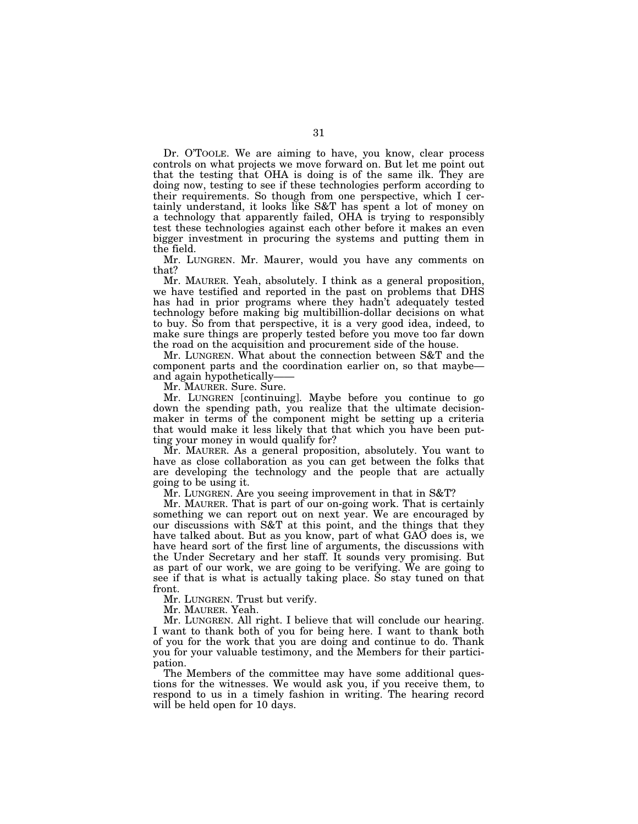Dr. O'TOOLE. We are aiming to have, you know, clear process controls on what projects we move forward on. But let me point out that the testing that OHA is doing is of the same ilk. They are doing now, testing to see if these technologies perform according to their requirements. So though from one perspective, which I certainly understand, it looks like S&T has spent a lot of money on a technology that apparently failed, OHA is trying to responsibly test these technologies against each other before it makes an even bigger investment in procuring the systems and putting them in the field.

Mr. LUNGREN. Mr. Maurer, would you have any comments on that?

Mr. MAURER. Yeah, absolutely. I think as a general proposition, we have testified and reported in the past on problems that DHS has had in prior programs where they hadn't adequately tested technology before making big multibillion-dollar decisions on what to buy. So from that perspective, it is a very good idea, indeed, to make sure things are properly tested before you move too far down the road on the acquisition and procurement side of the house.

Mr. LUNGREN. What about the connection between S&T and the component parts and the coordination earlier on, so that maybe and again hypothetically——

Mr. MAURER. Sure. Sure.

Mr. LUNGREN [continuing]. Maybe before you continue to go down the spending path, you realize that the ultimate decisionmaker in terms of the component might be setting up a criteria that would make it less likely that that which you have been putting your money in would qualify for?

Mr. MAURER. As a general proposition, absolutely. You want to have as close collaboration as you can get between the folks that are developing the technology and the people that are actually going to be using it.

Mr. LUNGREN. Are you seeing improvement in that in S&T?

Mr. MAURER. That is part of our on-going work. That is certainly something we can report out on next year. We are encouraged by our discussions with S&T at this point, and the things that they have talked about. But as you know, part of what GAO does is, we have heard sort of the first line of arguments, the discussions with the Under Secretary and her staff. It sounds very promising. But as part of our work, we are going to be verifying. We are going to see if that is what is actually taking place. So stay tuned on that front.

Mr. LUNGREN. Trust but verify.

Mr. MAURER. Yeah.

Mr. LUNGREN. All right. I believe that will conclude our hearing. I want to thank both of you for being here. I want to thank both of you for the work that you are doing and continue to do. Thank you for your valuable testimony, and the Members for their participation.

The Members of the committee may have some additional questions for the witnesses. We would ask you, if you receive them, to respond to us in a timely fashion in writing. The hearing record will be held open for 10 days.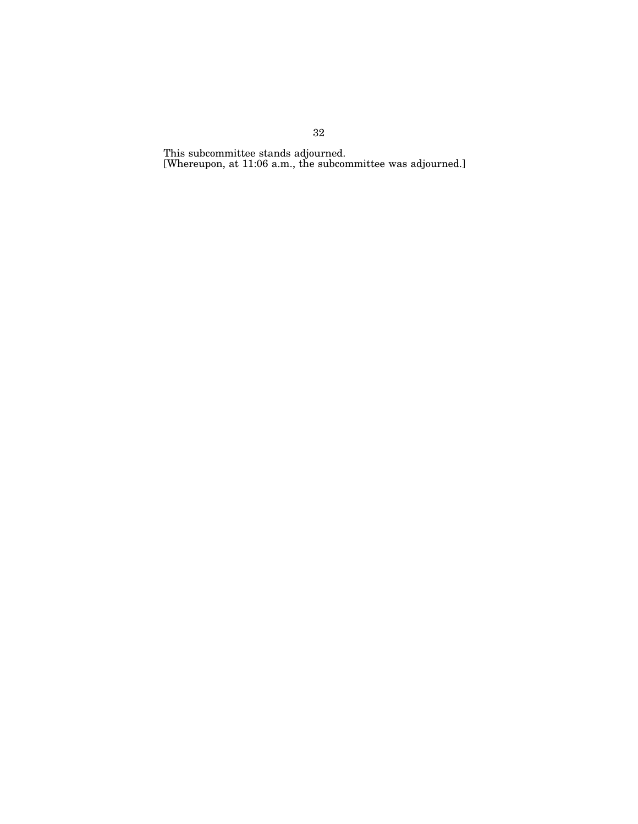This subcommittee stands adjourned. [Whereupon, at 11:06 a.m., the subcommittee was adjourned.]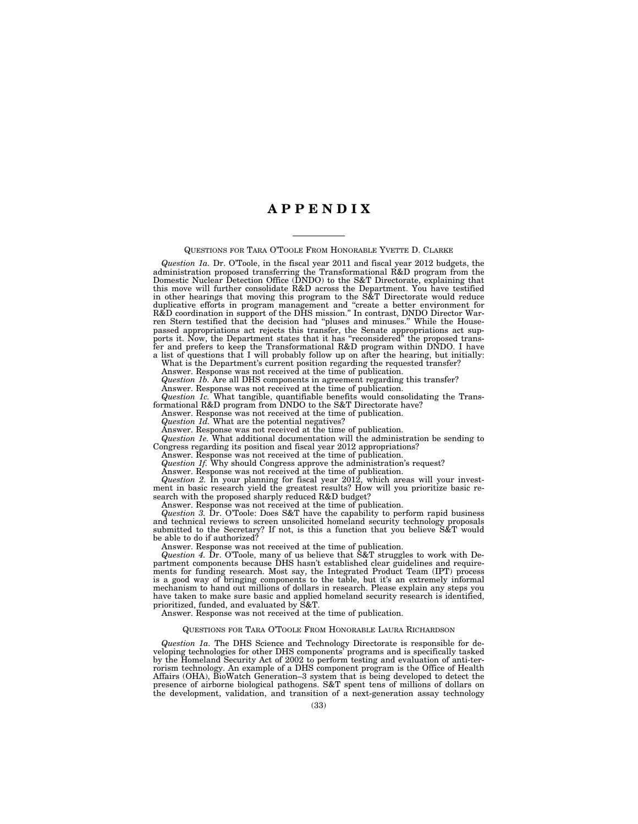# **A P P E N D I X**

QUESTIONS FOR TARA O'TOOLE FROM HONORABLE YVETTE D. CLARKE

*Question 1a.* Dr. O'Toole, in the fiscal year 2011 and fiscal year 2012 budgets, the administration proposed transferring the Transformational R&D program from the Domestic Nuclear Detection Office (DNDO) to the S&T Directorate, explaining that this move will further consolidate R&D across the Department. You have testified in other hearings that moving this program to the S&T Directorate would reduce duplicative efforts in program management and ''create a better environment for R&D coordination in support of the DHS mission.'' In contrast, DNDO Director Warren Stern testified that the decision had ''pluses and minuses.'' While the Housepassed appropriations act rejects this transfer, the Senate appropriations act supports it. Now, the Department states that it has ''reconsidered'' the proposed transfer and prefers to keep the Transformational R&D program within DNDO. I have

a list of questions that I will probably follow up on after the hearing, but initially: What is the Department's current position regarding the requested transfer? Answer. Response was not received at the time of publication.

*Question 1b.* Are all DHS components in agreement regarding this transfer? Answer. Response was not received at the time of publication.

*Question 1c.* What tangible, quantifiable benefits would consolidating the Transformational R&D program from DNDO to the S&T Directorate have?

Answer. Response was not received at the time of publication.

*Question 1d.* What are the potential negatives?

Answer. Response was not received at the time of publication.

*Question 1e.* What additional documentation will the administration be sending to Congress regarding its position and fiscal year 2012 appropriations?

Answer. Response was not received at the time of publication.

*Question 1f.* Why should Congress approve the administration's request?

Answer. Response was not received at the time of publication.

*Question 2.* In your planning for fiscal year 2012, which areas will your investment in basic research yield the greatest results? How will you prioritize basic research with the proposed sharply reduced R&D budget?

Answer. Response was not received at the time of publication.

*Question 3.* Dr. O'Toole: Does S&T have the capability to perform rapid business and technical reviews to screen unsolicited homeland security technology proposals submitted to the Secretary? If not, is this a function that you believe S&T would be able to do if authorized?

Answer. Response was not received at the time of publication.

*Question 4.* Dr. O'Toole, many of us believe that S&T struggles to work with Department components because DHS hasn't established clear guidelines and requirements for funding research. Most say, the Integrated Product Team (IPT) process is a good way of bringing components to the table, but it's an extremely informal mechanism to hand out millions of dollars in research. Please explain any steps you have taken to make sure basic and applied homeland security research is identified, prioritized, funded, and evaluated by S&T.

Answer. Response was not received at the time of publication.

# QUESTIONS FOR TARA O'TOOLE FROM HONORABLE LAURA RICHARDSON

*Question 1a.* The DHS Science and Technology Directorate is responsible for developing technologies for other DHS components' programs and is specifically tasked by the Homeland Security Act of 2002 to perform testing and evaluation of anti-terrorism technology. An example of a DHS component program is the Office of Health Affairs (OHA), BioWatch Generation–3 system that is being developed to detect the presence of airborne biological pathogens. S&T spent tens of millions of dollars on the development, validation, and transition of a next-generation assay technology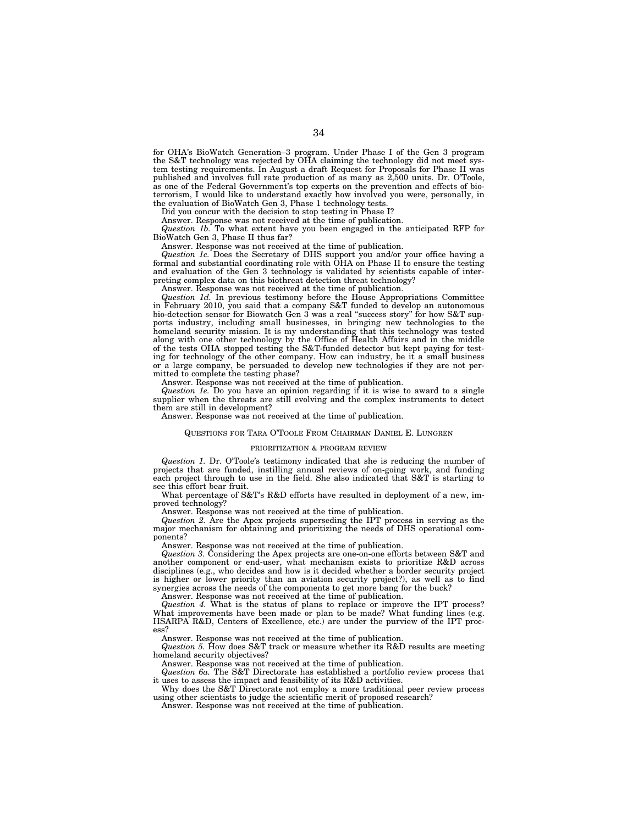for OHA's BioWatch Generation–3 program. Under Phase I of the Gen 3 program the S&T technology was rejected by OHA claiming the technology did not meet system testing requirements. In August a draft Request for Proposals for Phase II was published and involves full rate production of as many as 2,500 units. Dr. O'Toole, as one of the Federal Government's top experts on the prevention and effects of bioterrorism, I would like to understand exactly how involved you were, personally, in the evaluation of BioWatch Gen 3, Phase 1 technology tests.

Did you concur with the decision to stop testing in Phase I?

Answer. Response was not received at the time of publication.

*Question 1b.* To what extent have you been engaged in the anticipated RFP for BioWatch Gen 3, Phase II thus far?

Answer. Response was not received at the time of publication.

*Question 1c.* Does the Secretary of DHS support you and/or your office having a formal and substantial coordinating role with OHA on Phase II to ensure the testing and evaluation of the Gen 3 technology is validated by scientists capable of interpreting complex data on this biothreat detection threat technology?

Answer. Response was not received at the time of publication.

*Question 1d.* In previous testimony before the House Appropriations Committee in February 2010, you said that a company S&T funded to develop an autonomous bio-detection sensor for Biowatch Gen 3 was a real ''success story'' for how S&T supports industry, including small businesses, in bringing new technologies to the homeland security mission. It is my understanding that this technology was tested along with one other technology by the Office of Health Affairs and in the middle of the tests OHA stopped testing the S&T-funded detector but kept paying for testing for technology of the other company. How can industry, be it a small business or a large company, be persuaded to develop new technologies if they are not permitted to complete the testing phase?

Answer. Response was not received at the time of publication.

*Question 1e.* Do you have an opinion regarding if it is wise to award to a single supplier when the threats are still evolving and the complex instruments to detect them are still in development?

Answer. Response was not received at the time of publication.

# QUESTIONS FOR TARA O'TOOLE FROM CHAIRMAN DANIEL E. LUNGREN

#### PRIORITIZATION & PROGRAM REVIEW

*Question 1.* Dr. O'Toole's testimony indicated that she is reducing the number of projects that are funded, instilling annual reviews of on-going work, and funding each project through to use in the field. She also indicated that S&T is starting to see this effort bear fruit.

What percentage of S&T's R&D efforts have resulted in deployment of a new, improved technology?

Answer. Response was not received at the time of publication. *Question 2.* Are the Apex projects superseding the IPT process in serving as the

major mechanism for obtaining and prioritizing the needs of DHS operational components?

Answer. Response was not received at the time of publication.

*Question 3.* Considering the Apex projects are one-on-one efforts between S&T and another component or end-user, what mechanism exists to prioritize R&D across disciplines (e.g., who decides and how is it decided whether a border security project is higher or lower priority than an aviation security project?), as well as to find synergies across the needs of the components to get more bang for the buck?

Answer. Response was not received at the time of publication.

*Question 4.* What is the status of plans to replace or improve the IPT process? What improvements have been made or plan to be made? What funding lines (e.g. HSARPA R&D, Centers of Excellence, etc.) are under the purview of the IPT process?

Answer. Response was not received at the time of publication.

*Question 5.* How does S&T track or measure whether its R&D results are meeting homeland security objectives?

Answer. Response was not received at the time of publication.

*Question 6a.* The S&T Directorate has established a portfolio review process that it uses to assess the impact and feasibility of its R&D activities.

Why does the S&T Directorate not employ a more traditional peer review process using other scientists to judge the scientific merit of proposed research?

Answer. Response was not received at the time of publication.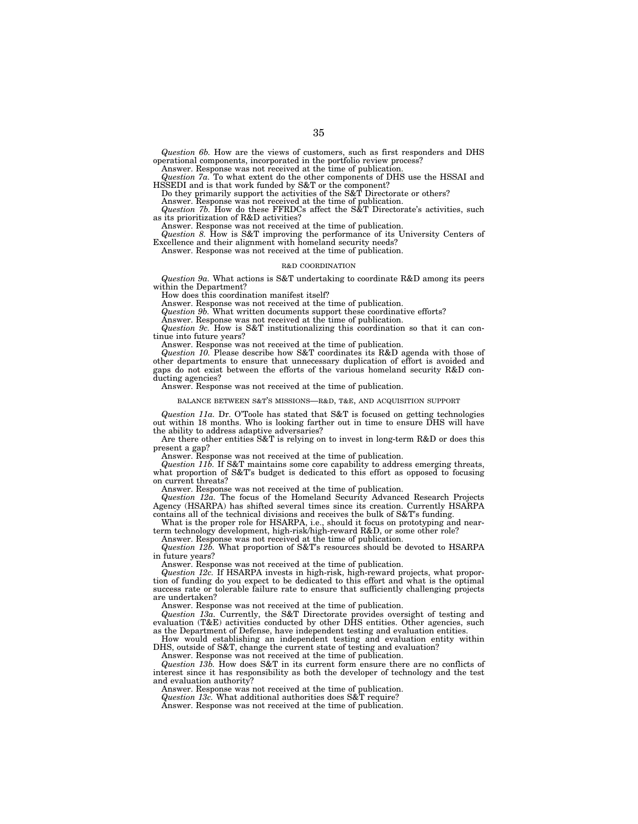*Question 6b.* How are the views of customers, such as first responders and DHS operational components, incorporated in the portfolio review process?

Answer. Response was not received at the time of publication. *Question 7a.* To what extent do the other components of DHS use the HSSAI and HSSEDI and is that work funded by S&T or the component?

Do they primarily support the activities of the S&T Directorate or others?

Answer. Response was not received at the time of publication. *Question 7b.* How do these FFRDCs affect the S&T Directorate's activities, such as its prioritization of R&D activities?

Answer. Response was not received at the time of publication. *Question 8.* How is S&T improving the performance of its University Centers of Excellence and their alignment with homeland security needs?

Answer. Response was not received at the time of publication.

#### R&D COORDINATION

*Question 9a.* What actions is S&T undertaking to coordinate R&D among its peers within the Department?

How does this coordination manifest itself?

Answer. Response was not received at the time of publication.

*Question 9b.* What written documents support these coordinative efforts?

Answer. Response was not received at the time of publication.

*Question 9c.* How is S&T institutionalizing this coordination so that it can continue into future years?

Answer. Response was not received at the time of publication.

*Question 10.* Please describe how S&T coordinates its R&D agenda with those of other departments to ensure that unnecessary duplication of effort is avoided and gaps do not exist between the efforts of the various homeland security R&D conducting agencies?

Answer. Response was not received at the time of publication.

#### BALANCE BETWEEN S&T'S MISSIONS—R&D, T&E, AND ACQUISITION SUPPORT

*Question 11a.* Dr. O'Toole has stated that S&T is focused on getting technologies out within 18 months. Who is looking farther out in time to ensure DHS will have the ability to address adaptive adversaries?

Are there other entities S&T is relying on to invest in long-term R&D or does this present a gap?

Answer. Response was not received at the time of publication.

*Question 11b.* If S&T maintains some core capability to address emerging threats, what proportion of  $S\&T$ 's budget is dedicated to this effort as opposed to focusing on current threats?

Answer. Response was not received at the time of publication.

*Question 12a.* The focus of the Homeland Security Advanced Research Projects Agency (HSARPA) has shifted several times since its creation. Currently HSARPA contains all of the technical divisions and receives the bulk of S&T's funding.

What is the proper role for HSARPA, i.e., should it focus on prototyping and nearterm technology development, high-risk/high-reward R&D, or some other role?

Answer. Response was not received at the time of publication.

*Question 12b.* What proportion of S&T's resources should be devoted to HSARPA in future years?

Answer. Response was not received at the time of publication.

*Question 12c.* If HSARPA invests in high-risk, high-reward projects, what proportion of funding do you expect to be dedicated to this effort and what is the optimal success rate or tolerable failure rate to ensure that sufficiently challenging projects are undertaken?

Answer. Response was not received at the time of publication.

*Question 13a.* Currently, the S&T Directorate provides oversight of testing and evaluation (T&E) activities conducted by other DHS entities. Other agencies, such as the Department of Defense, have independent testing and evaluation entities.

How would establishing an independent testing and evaluation entity within DHS, outside of S&T, change the current state of testing and evaluation?

Answer. Response was not received at the time of publication.

*Question 13b.* How does S&T in its current form ensure there are no conflicts of interest since it has responsibility as both the developer of technology and the test and evaluation authority?

Answer. Response was not received at the time of publication.

*Question 13c.* What additional authorities does S&T require?

Answer. Response was not received at the time of publication.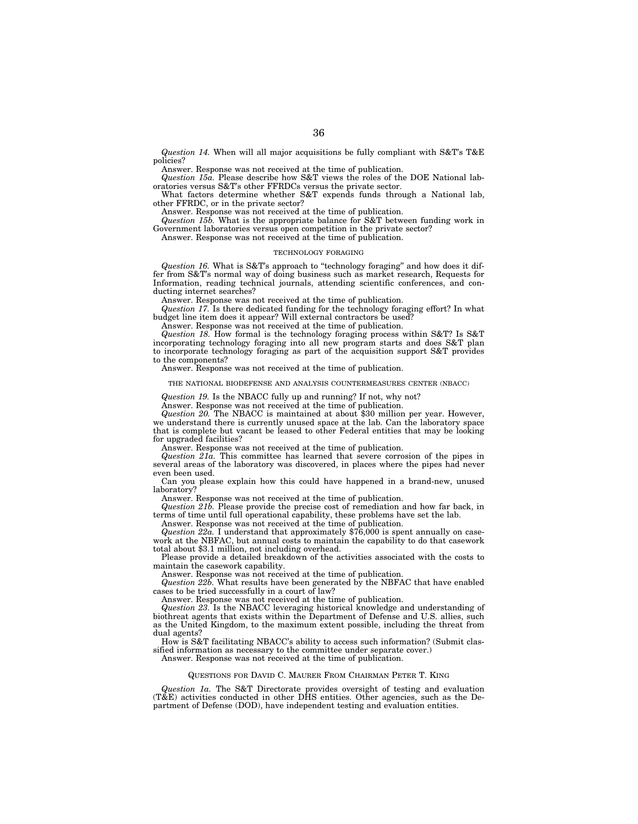*Question 14.* When will all major acquisitions be fully compliant with S&T's T&E policies?

Answer. Response was not received at the time of publication.

*Question 15a.* Please describe how S&T views the roles of the DOE National laboratories versus S&T's other FFRDCs versus the private sector.

What factors determine whether S&T expends funds through a National lab, other FFRDC, or in the private sector?

Answer. Response was not received at the time of publication.

*Question 15b.* What is the appropriate balance for S&T between funding work in Government laboratories versus open competition in the private sector?

Answer. Response was not received at the time of publication.

#### TECHNOLOGY FORAGING

*Question 16.* What is S&T's approach to ''technology foraging'' and how does it differ from S&T's normal way of doing business such as market research, Requests for Information, reading technical journals, attending scientific conferences, and conducting internet searches?

Answer. Response was not received at the time of publication.

*Question 17.* Is there dedicated funding for the technology foraging effort? In what budget line item does it appear? Will external contractors be used?

Answer. Response was not received at the time of publication.

*Question 18.* How formal is the technology foraging process within S&T? Is S&T incorporating technology foraging into all new program starts and does S&T plan to incorporate technology foraging as part of the acquisition support S&T provides to the components?

Answer. Response was not received at the time of publication.

#### THE NATIONAL BIODEFENSE AND ANALYSIS COUNTERMEASURES CENTER (NBACC)

*Question 19.* Is the NBACC fully up and running? If not, why not?

Answer. Response was not received at the time of publication.

*Question 20.* The NBACC is maintained at about \$30 million per year. However, we understand there is currently unused space at the lab. Can the laboratory space that is complete but vacant be leased to other Federal entities that may be looking for upgraded facilities?

Answer. Response was not received at the time of publication.

*Question 21a.* This committee has learned that severe corrosion of the pipes in several areas of the laboratory was discovered, in places where the pipes had never even been used.

Can you please explain how this could have happened in a brand-new, unused laboratory?

Answer. Response was not received at the time of publication.

*Question 21b.* Please provide the precise cost of remediation and how far back, in terms of time until full operational capability, these problems have set the lab.

Answer. Response was not received at the time of publication.

*Question 22a.* I understand that approximately \$76,000 is spent annually on casework at the NBFAC, but annual costs to maintain the capability to do that casework total about \$3.1 million, not including overhead.

Please provide a detailed breakdown of the activities associated with the costs to maintain the casework capability.

Answer. Response was not received at the time of publication.

*Question 22b.* What results have been generated by the NBFAC that have enabled cases to be tried successfully in a court of law?

Answer. Response was not received at the time of publication.

*Question 23.* Is the NBACC leveraging historical knowledge and understanding of biothreat agents that exists within the Department of Defense and U.S. allies, such as the United Kingdom, to the maximum extent possible, including the threat from dual agents?

How is S&T facilitating NBACC's ability to access such information? (Submit classified information as necessary to the committee under separate cover.)

Answer. Response was not received at the time of publication.

# QUESTIONS FOR DAVID C. MAURER FROM CHAIRMAN PETER T. KING

*Question 1a.* The S&T Directorate provides oversight of testing and evaluation  $(T\&E)$  activities conducted in other DHS entities. Other agencies, such as the Department of Defense (DOD), have independent testing and evaluation entities.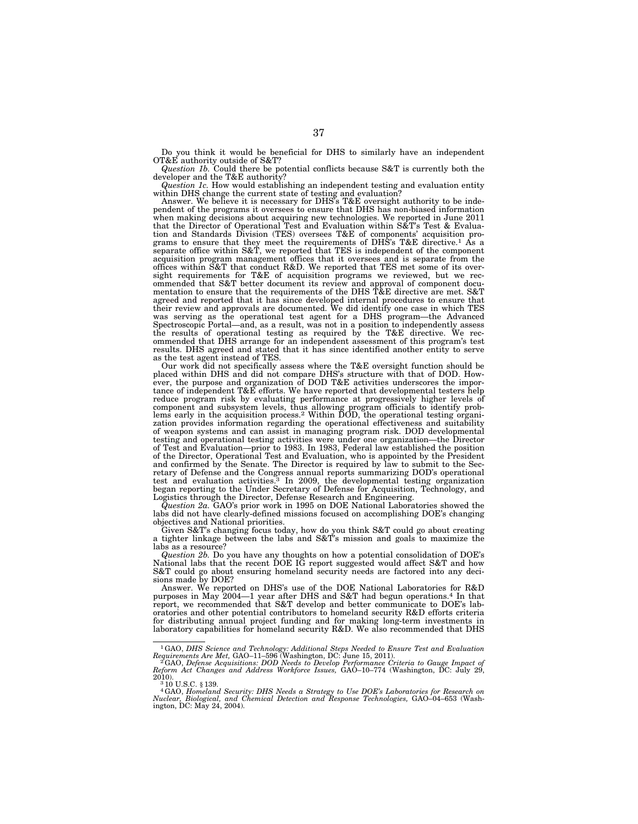Do you think it would be beneficial for DHS to similarly have an independent OT&E authority outside of S&T?

*Question 1b.* Could there be potential conflicts because S&T is currently both the developer and the T&E authority?

*Question 1c.* How would establishing an independent testing and evaluation entity within DHS change the current state of testing and evaluation?<br>Answer. We believe it is necessary for DHS's T&E oversight authority to be inde-

pendent of the programs it oversees to ensure that DHS has non-biased information when making decisions about acquiring new technologies. We reported in June 2011 that the Director of Operational Test and Evaluation within S&T's Test & Evalua-tion and Standards Division (TES) oversees T&E of components' acquisition programs to ensure that they meet the requirements of DHS's T&E directive.<sup>1</sup> As a separate office within S&T, we reported that TES is independent of the component acquisition program management offices that it oversees and is separate from the offices within S&T that conduct R&D. We reported that TES met some of its oversight requirements for T&E of acquisition programs we reviewed, but we rec-ommended that S&T better document its review and approval of component documentation to ensure that the requirements of the DHS T&E directive are met. S&T<br>agreed and reported that it has since developed internal procedures to ensure that<br>their review and approvals are documented. We did identify Spectroscopic Portal—and, as a result, was not in a position to independently assess the results of operational testing as required by the T&E directive. We recommended that DHS arrange for an independent assessment of this program's test results. DHS agreed and stated that it has since identified another entity to serve as the test agent instead of TES.

Our work did not specifically assess where the T&E oversight function should be placed within DHS and did not compare DHS's structure with that of DOD. However, the purpose and organization of DOD T&E activities underscores the importance of independent T&E efforts. We have reported that developmental testers help reduce program risk by evaluating performance at progressivel zation provides information regarding the operational effectiveness and suitability of weapon systems and can assist in managing program risk. DOD developmental testing and operational testing activities were under one organization—the Director of Test and Evaluation—prior to 1983. In 1983, Federal law established the position of the Director, Operational Test and Evaluation, who is appointed by the President and confirmed by the Senate. The Director is required by law to submit to the Secretary of Defense and the Congress annual reports summarizing DOD's operational test and evaluation activities.3 In 2009, the developmental testing organization began reporting to the Under Secretary of Defense for Acquisition, Technology, and Logistics through the Director, Defense Research and Engineering.

*Question 2a.* GAO's prior work in 1995 on DOE National Laboratories showed the labs did not have clearly-defined missions focused on accomplishing DOE's changing objectives and National priorities. Given S&T's changing focus today, how do you think S&T could go about creating

a tighter linkage between the labs and S&T's mission and goals to maximize the labs as a resource?

*Question 2b.* Do you have any thoughts on how a potential consolidation of DOE's National labs that the recent DOE IG report suggested would affect S&T and how S&T could go about ensuring homeland security needs are factored into any deci-sions made by DOE?

Answer. We reported on DHS's use of the DOE National Laboratories for R&D purposes in May 2004—1 year after DHS and S&T had begun operations.4 In that report, we recommended that S&T develop and better communicate to DOE's laboratories and other potential contributors to homeland security R&D efforts criteria for distributing annual project funding and for making long-term investments in laboratory capabilities for homeland security R&D. We also recommended that DHS

<sup>&</sup>lt;sup>1</sup>GAO, DHS Science and Technology: Additional Steps Needed to Ensure Test and Evaluation Requirements Are Met, GAO–11–596 (Washington, DC: June 15, 2011).<br><sup>2</sup>GAO, Defense Acquisitions: DOD Needs to Develop Performance Cr

<sup>2010). 3</sup> 10 U.S.C. § 139. 4GAO, *Homeland Security: DHS Needs a Strategy to Use DOE's Laboratories for Research on* 

*Nuclear, Biological, and Chemical Detection and Response Technologies,* GAO–04–653 (Wash-ington, DC: May 24, 2004).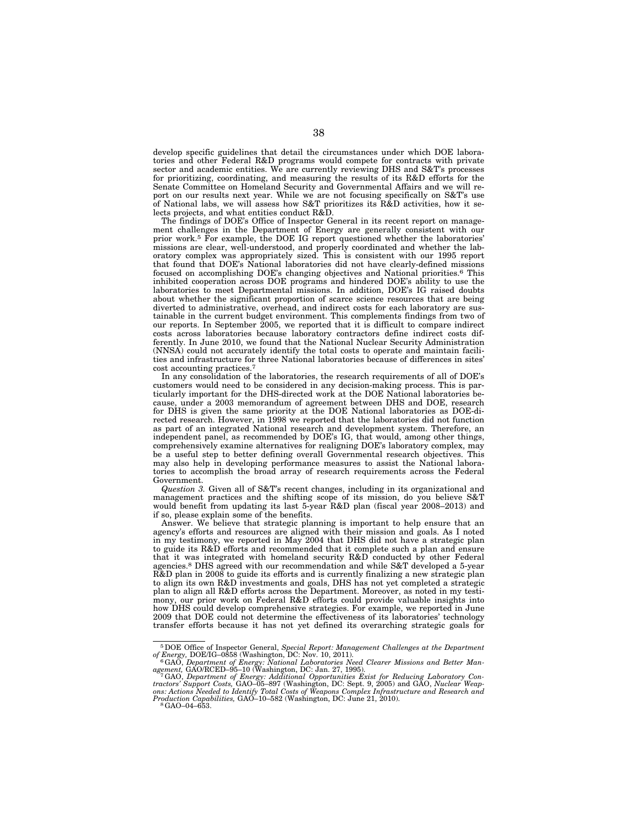develop specific guidelines that detail the circumstances under which DOE laboratories and other Federal R&D programs would compete for contracts with private sector and academic entities. We are currently reviewing DHS and S&T's processes for prioritizing, coordinating, and measuring the results of its R&D efforts for the Senate Committee on Homeland Security and Governmental Affairs and we will report on our results next year. While we are not focusing specifically on S&T's use of National labs, we will assess how S&T prioritizes its R&D activities, how it selects projects, and what entities conduct R&D.

The findings of DOE's Office of Inspector General in its recent report on management challenges in the Department of Energy are generally consistent with our prior work.<sup>5</sup> For example, the DOE IG report questioned whether the laboratories' missions are clear, well-understood, and properly coordinated and whether the laboratory complex was appropriately sized. This is consistent with our 1995 report that found that DOE's National laboratories did not have clearly-defined missions focused on accomplishing DOE's changing objectives and National priorities.6 This inhibited cooperation across DOE programs and hindered DOE's ability to use the laboratories to meet Departmental missions. In addition, DOE's IG raised doubts about whether the significant proportion of scarce science resources that are being diverted to administrative, overhead, and indirect costs for each laboratory are sustainable in the current budget environment. This complements findings from two of our reports. In September 2005, we reported that it is difficult to compare indirect costs across laboratories because laboratory contractors define indirect costs differently. In June 2010, we found that the National Nuclear Security Administration (NNSA) could not accurately identify the total costs to operate and maintain facilities and infrastructure for three National laboratories because of differences in sites' cost accounting practices.<sup>7</sup>

In any consolidation of the laboratories, the research requirements of all of DOE's customers would need to be considered in any decision-making process. This is particularly important for the DHS-directed work at the DOE National laboratories because, under a 2003 memorandum of agreement between DHS and DOE, research for DHS is given the same priority at the DOE National laboratories as DOE-directed research. However, in 1998 we reported that the laboratories did not function as part of an integrated National research and development system. Therefore, an independent panel, as recommended by DOE's IG, that would, among other things, comprehensively examine alternatives for realigning DOE's laboratory complex, may be a useful step to better defining overall Governmental research objectives. This may also help in developing performance measures to assist the National laboratories to accomplish the broad array of research requirements across the Federal Government.

*Question 3.* Given all of S&T's recent changes, including in its organizational and management practices and the shifting scope of its mission, do you believe S&T would benefit from updating its last 5-year R&D plan (fiscal year 2008–2013) and if so, please explain some of the benefits.

Answer. We believe that strategic planning is important to help ensure that an agency's efforts and resources are aligned with their mission and goals. As I noted in my testimony, we reported in May 2004 that DHS did not have a strategic plan to guide its R&D efforts and recommended that it complete such a plan and ensure that it was integrated with homeland security R&D conducted by other Federal agencies.8 DHS agreed with our recommendation and while S&T developed a 5-year R&D plan in 2008 to guide its efforts and is currently finalizing a new strategic plan to align its own R&D investments and goals, DHS has not yet completed a strategic plan to align all R&D efforts across the Department. Moreover, as noted in my testimony, our prior work on Federal R&D efforts could provide valuable insights into how DHS could develop comprehensive strategies. For example, we reported in June 2009 that DOE could not determine the effectiveness of its laboratories' technology transfer efforts because it has not yet defined its overarching strategic goals for

<sup>5</sup>DOE Office of Inspector General, *Special Report: Management Challenges at the Department* 

*of Energy, DOE/IG–0858 (Washington, DC: Nov. 10, 2011).*<br>
<sup>6</sup>GAO, *Department of Energy: National Laboratories Need Clearer Missions and Better Man-<br>
<i>agement, GAO/RCED–95-10 (Washington, DC: Jan. 27, 1995)* 

agement, GAO/RCED–95–10 (Washington, DC: Jan. 27, 1995).<br>" GAO, Department of Energy: Additional Opportunities Exist for Reducing Laboratory Con-<br>tractors' Support Costs, GAO–05–897 (Washington, DC: Sept. 9, 2005) and GAO,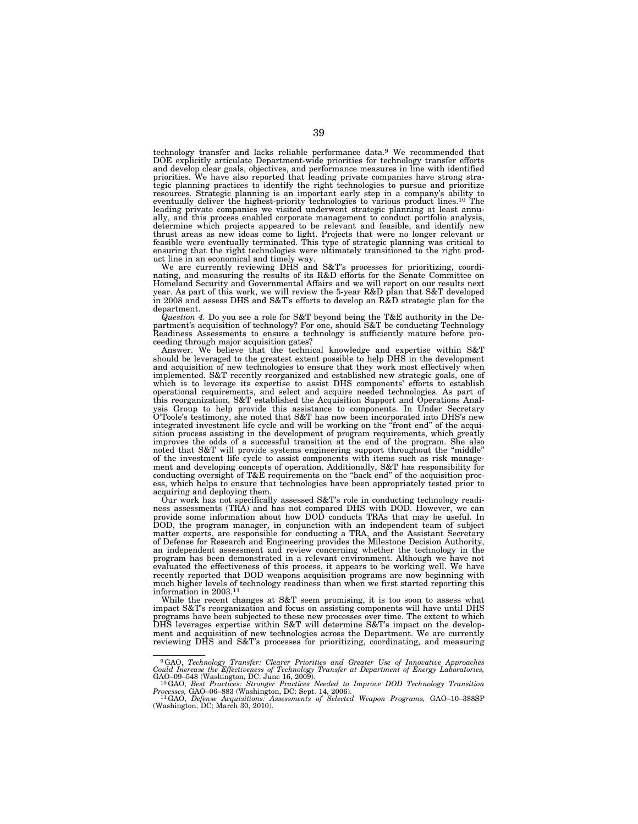technology transfer and lacks reliable performance data.9 We recommended that DOE explicitly articulate Department-wide priorities for technology transfer efforts and develop clear goals, objectives, and performance measures in line with identified priorities. We have also reported that leading private companies have strong strategic planning practices to identify the right technologies to pursue and prioritize resources. Strategic planning is an important early step in a company's ability to eventually deliver the highest-priority technologies to various product lines.10 The leading private companies we visited underwent strategic planning at least annually, and this process enabled corporate management to conduct portfolio analysis, determine which projects appeared to be relevant and feasible, and identify new thrust areas as new ideas come to light. Projects that were no longer relevant or feasible were eventually terminated. This type of strategic planning was critical to ensuring that the right technologies were ultimately transitioned to the right product line in an economical and timely way. We are currently reviewing DHS and S&T's processes for prioritizing, coordi-

nating, and measuring the results of its R&D efforts for the Senate Committee on Homeland Security and Governmental Affairs and we will report on our results next year. As part of this work, we will review the 5-year R&D plan that S&T developed in 2008 and assess DHS and S&T's efforts to develop an R&D strategic plan for the department.

*Question 4.* Do you see a role for S&T beyond being the T&E authority in the Department's acquisition of technology? For one, should S&T be conducting Technology partment's acquisition of technology: For one, should see the contaming before pro-<br>Readiness Assessments to ensure a technology is sufficiently mature before proceeding through major acquisition gates?

Answer. We believe that the technical knowledge and expertise within S&T should be leveraged to the greatest extent possible to help  $DHS$  in the development and acquisition of new technologies to ensure that they work most effectively when implemented. S&T recently reorganized and established new strategic goals, one of which is to leverage its expertise to assist DHS components' efforts to establish operational requirements, and select and acquire needed technologies. As part of this reorganization, S&T established the Acquisition Support and Operations Analysis Group to help provide this assistance to components. In Under Secretary O'Toole's testimony, she noted that S&T has now been incorporated into DHS's new integrated investment life cycle and will be working on the "front end" of the acquisition process assisting in the development of program requirements, which greatly improves the odds of a successful transition at the end of the program. She also noted that S&T will provide systems engineering support throughout the "middle" of the investment life cycle to assist components with items such as risk management and developing concepts of operation. Additionally, S&T has responsibility for conducting oversight of T&E requirements on the ''back end'' of the acquisition process, which helps to ensure that technologies have been appropriately tested prior to acquiring and deploying them.

Our work has not specifically assessed S&T's role in conducting technology readiness assessments (TRA) and has not compared DHS with DOD. However, we can provide some information about how DOD conducts TRAs that may be useful. In DOD, the program manager, in conjunction with an independent team of subject matter experts, are responsible for conducting a TRA, and the Assistant Secretary of Defense for Research and Engineering provides the Milestone Decision Authority, an independent assessment and review concerning whether the technology in the program has been demonstrated in a relevant environment. Although we have not evaluated the effectiveness of this process, it appears to be working well. We have recently reported that DOD weapons acquisition programs are now beginning with much higher levels of technology readiness than when we first started reporting this information in 2003.11

While the recent changes at S&T seem promising, it is too soon to assess what impact S&T's reorganization and focus on assisting components will have until DHS programs have been subjected to these new processes over time. The extent to which DHS leverages expertise within S&T will determine S&T's impact on the development and acquisition of new technologies across the Department. We are currently reviewing DHS and S&T's processes for prioritizing, coordinating, and measuring

<sup>&</sup>lt;sup>9</sup>GAO, Technology Transfer: Clearer Priorities and Greater Use of Innovative Approaches<br>Could Increase the Effectiveness of Technology Transfer at Department of Energy Laboratories,<br> $GAO-09-548$  (Washington, DC: June 16,

*Processes, GAO–06–*883 (Washington, DC: Sept. 14, 2006).<br><sup>11</sup> GAO, *Defense Acquisitions: Assessments of Selected Weapon Programs, GAO–10–388SP*<br>(Washington, DC: March 30, 2010).